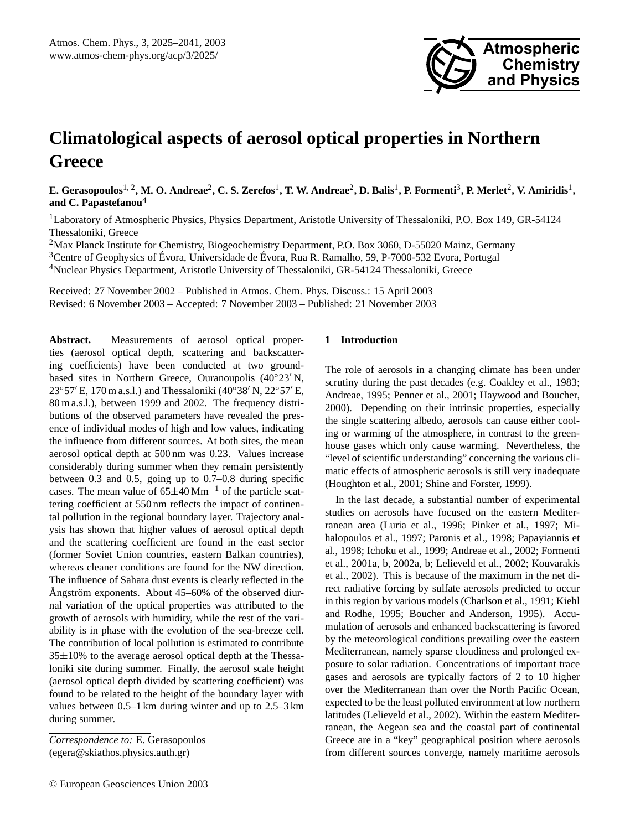

# **Climatological aspects of aerosol optical properties in Northern Greece**

**E. Gerasopoulos**1, 2**, M. O. Andreae**<sup>2</sup> **, C. S. Zerefos**<sup>1</sup> **, T. W. Andreae**<sup>2</sup> **, D. Balis**<sup>1</sup> **, P. Formenti**<sup>3</sup> **, P. Merlet**<sup>2</sup> **, V. Amiridis**<sup>1</sup> **, and C. Papastefanou**<sup>4</sup>

<sup>1</sup>Laboratory of Atmospheric Physics, Physics Department, Aristotle University of Thessaloniki, P.O. Box 149, GR-54124 Thessaloniki, Greece

<sup>2</sup>Max Planck Institute for Chemistry, Biogeochemistry Department, P.O. Box 3060, D-55020 Mainz, Germany

<sup>3</sup>Centre of Geophysics of Évora, Universidade de Évora, Rua R. Ramalho, 59, P-7000-532 Evora, Portugal

<sup>4</sup>Nuclear Physics Department, Aristotle University of Thessaloniki, GR-54124 Thessaloniki, Greece

Received: 27 November 2002 – Published in Atmos. Chem. Phys. Discuss.: 15 April 2003 Revised: 6 November 2003 – Accepted: 7 November 2003 – Published: 21 November 2003

**Abstract.** Measurements of aerosol optical properties (aerosol optical depth, scattering and backscattering coefficients) have been conducted at two groundbased sites in Northern Greece, Ouranoupolis  $(40°23' N,$ 23°57′ E, 170 m a.s.l.) and Thessaloniki (40°38′ N, 22°57′ E, 80 m a.s.l.), between 1999 and 2002. The frequency distributions of the observed parameters have revealed the presence of individual modes of high and low values, indicating the influence from different sources. At both sites, the mean aerosol optical depth at 500 nm was 0.23. Values increase considerably during summer when they remain persistently between 0.3 and 0.5, going up to 0.7–0.8 during specific cases. The mean value of  $65\pm40$  Mm<sup>-1</sup> of the particle scattering coefficient at 550 nm reflects the impact of continental pollution in the regional boundary layer. Trajectory analysis has shown that higher values of aerosol optical depth and the scattering coefficient are found in the east sector (former Soviet Union countries, eastern Balkan countries), whereas cleaner conditions are found for the NW direction. The influence of Sahara dust events is clearly reflected in the Ångström exponents. About  $45-60\%$  of the observed diurnal variation of the optical properties was attributed to the growth of aerosols with humidity, while the rest of the variability is in phase with the evolution of the sea-breeze cell. The contribution of local pollution is estimated to contribute 35±10% to the average aerosol optical depth at the Thessaloniki site during summer. Finally, the aerosol scale height (aerosol optical depth divided by scattering coefficient) was found to be related to the height of the boundary layer with values between 0.5–1 km during winter and up to 2.5–3 km during summer.

#### **1 Introduction**

The role of aerosols in a changing climate has been under scrutiny during the past decades (e.g. Coakley et al., 1983; Andreae, 1995; Penner et al., 2001; Haywood and Boucher, 2000). Depending on their intrinsic properties, especially the single scattering albedo, aerosols can cause either cooling or warming of the atmosphere, in contrast to the greenhouse gases which only cause warming. Nevertheless, the "level of scientific understanding" concerning the various climatic effects of atmospheric aerosols is still very inadequate (Houghton et al., 2001; Shine and Forster, 1999).

In the last decade, a substantial number of experimental studies on aerosols have focused on the eastern Mediterranean area (Luria et al., 1996; Pinker et al., 1997; Mihalopoulos et al., 1997; Paronis et al., 1998; Papayiannis et al., 1998; Ichoku et al., 1999; Andreae et al., 2002; Formenti et al., 2001a, b, 2002a, b; Lelieveld et al., 2002; Kouvarakis et al., 2002). This is because of the maximum in the net direct radiative forcing by sulfate aerosols predicted to occur in this region by various models (Charlson et al., 1991; Kiehl and Rodhe, 1995; Boucher and Anderson, 1995). Accumulation of aerosols and enhanced backscattering is favored by the meteorological conditions prevailing over the eastern Mediterranean, namely sparse cloudiness and prolonged exposure to solar radiation. Concentrations of important trace gases and aerosols are typically factors of 2 to 10 higher over the Mediterranean than over the North Pacific Ocean, expected to be the least polluted environment at low northern latitudes (Lelieveld et al., 2002). Within the eastern Mediterranean, the Aegean sea and the coastal part of continental Greece are in a "key" geographical position where aerosols from different sources converge, namely maritime aerosols

*Correspondence to:* E. Gerasopoulos (egera@skiathos.physics.auth.gr)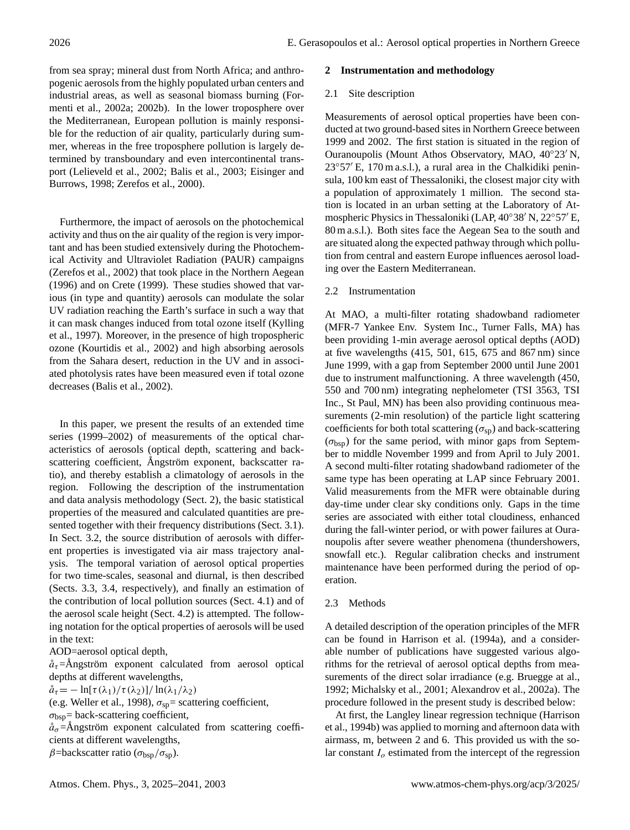from sea spray; mineral dust from North Africa; and anthropogenic aerosols from the highly populated urban centers and industrial areas, as well as seasonal biomass burning (Formenti et al., 2002a; 2002b). In the lower troposphere over the Mediterranean, European pollution is mainly responsible for the reduction of air quality, particularly during summer, whereas in the free troposphere pollution is largely determined by transboundary and even intercontinental transport (Lelieveld et al., 2002; Balis et al., 2003; Eisinger and Burrows, 1998; Zerefos et al., 2000).

Furthermore, the impact of aerosols on the photochemical activity and thus on the air quality of the region is very important and has been studied extensively during the Photochemical Activity and Ultraviolet Radiation (PAUR) campaigns (Zerefos et al., 2002) that took place in the Northern Aegean (1996) and on Crete (1999). These studies showed that various (in type and quantity) aerosols can modulate the solar UV radiation reaching the Earth's surface in such a way that it can mask changes induced from total ozone itself (Kylling et al., 1997). Moreover, in the presence of high tropospheric ozone (Kourtidis et al., 2002) and high absorbing aerosols from the Sahara desert, reduction in the UV and in associated photolysis rates have been measured even if total ozone decreases (Balis et al., 2002).

In this paper, we present the results of an extended time series (1999–2002) of measurements of the optical characteristics of aerosols (optical depth, scattering and backscattering coefficient, Ångström exponent, backscatter ratio), and thereby establish a climatology of aerosols in the region. Following the description of the instrumentation and data analysis methodology (Sect. 2), the basic statistical properties of the measured and calculated quantities are presented together with their frequency distributions (Sect. 3.1). In Sect. 3.2, the source distribution of aerosols with different properties is investigated via air mass trajectory analysis. The temporal variation of aerosol optical properties for two time-scales, seasonal and diurnal, is then described (Sects. 3.3, 3.4, respectively), and finally an estimation of the contribution of local pollution sources (Sect. 4.1) and of the aerosol scale height (Sect. 4.2) is attempted. The following notation for the optical properties of aerosols will be used in the text:

AOD=aerosol optical depth,

 $\mathring{a}_{\tau}$ =Ångström exponent calculated from aerosol optical depths at different wavelengths,

 $\mathring{a}_{\tau} = -\ln[\tau(\lambda_1)/\tau(\lambda_2)]/\ln(\lambda_1/\lambda_2)$ 

(e.g. Weller et al., 1998),  $\sigma_{sp}$ = scattering coefficient,

 $\sigma_{\text{bsp}}$ = back-scattering coefficient,

 $a_{\sigma}$ =Ångström exponent calculated from scattering coefficients at different wavelengths,

β=backscatter ratio ( $\sigma_{\rm bsp}/\sigma_{\rm sp}$ ).

# **2 Instrumentation and methodology**

## 2.1 Site description

Measurements of aerosol optical properties have been conducted at two ground-based sites in Northern Greece between 1999 and 2002. The first station is situated in the region of Ouranoupolis (Mount Athos Observatory, MAO,  $40^{\circ}23'$  N,  $23°57′$  E, 170 m a.s.l.), a rural area in the Chalkidiki peninsula, 100 km east of Thessaloniki, the closest major city with a population of approximately 1 million. The second station is located in an urban setting at the Laboratory of Atmospheric Physics in Thessaloniki (LAP,  $40^{\circ}38'$  N,  $22^{\circ}57'$  E, 80 m a.s.l.). Both sites face the Aegean Sea to the south and are situated along the expected pathway through which pollution from central and eastern Europe influences aerosol loading over the Eastern Mediterranean.

# 2.2 Instrumentation

At MAO, a multi-filter rotating shadowband radiometer (MFR-7 Yankee Env. System Inc., Turner Falls, MA) has been providing 1-min average aerosol optical depths (AOD) at five wavelengths (415, 501, 615, 675 and 867 nm) since June 1999, with a gap from September 2000 until June 2001 due to instrument malfunctioning. A three wavelength (450, 550 and 700 nm) integrating nephelometer (TSI 3563, TSI Inc., St Paul, MN) has been also providing continuous measurements (2-min resolution) of the particle light scattering coefficients for both total scattering ( $\sigma_{sp}$ ) and back-scattering  $(\sigma_{bsp})$  for the same period, with minor gaps from September to middle November 1999 and from April to July 2001. A second multi-filter rotating shadowband radiometer of the same type has been operating at LAP since February 2001. Valid measurements from the MFR were obtainable during day-time under clear sky conditions only. Gaps in the time series are associated with either total cloudiness, enhanced during the fall-winter period, or with power failures at Ouranoupolis after severe weather phenomena (thundershowers, snowfall etc.). Regular calibration checks and instrument maintenance have been performed during the period of operation.

# 2.3 Methods

A detailed description of the operation principles of the MFR can be found in Harrison et al. (1994a), and a considerable number of publications have suggested various algorithms for the retrieval of aerosol optical depths from measurements of the direct solar irradiance (e.g. Bruegge at al., 1992; Michalsky et al., 2001; Alexandrov et al., 2002a). The procedure followed in the present study is described below:

At first, the Langley linear regression technique (Harrison et al., 1994b) was applied to morning and afternoon data with airmass, m, between 2 and 6. This provided us with the solar constant  $I<sub>o</sub>$  estimated from the intercept of the regression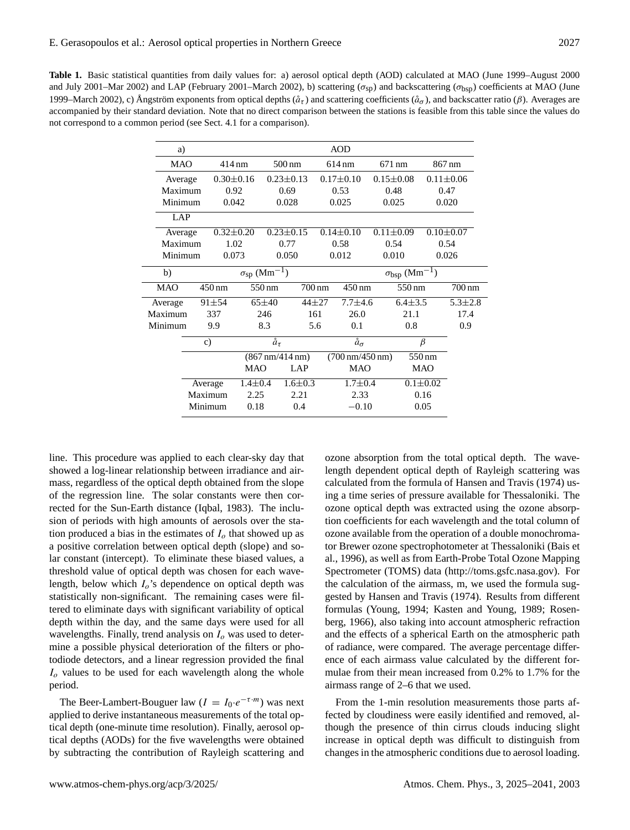| <b>Table 1.</b> Basic statistical quantities from daily values for: a) aerosol optical depth (AOD) calculated at MAO (June 1999–August 2000                                       |
|-----------------------------------------------------------------------------------------------------------------------------------------------------------------------------------|
| and July 2001–Mar 2002) and LAP (February 2001–March 2002), b) scattering ( $\sigma_{SD}$ ) and backscattering ( $\sigma_{bSD}$ ) coefficients at MAO (June                       |
| 1999–March 2002), c) Ångström exponents from optical depths $(\hat{a}_{\tau})$ and scattering coefficients $(\hat{a}_{\sigma})$ , and backscatter ratio ( $\beta$ ). Averages are |
| accompanied by their standard deviation. Note that no direct comparison between the stations is feasible from this table since the values do                                      |
| not correspond to a common period (see Sect. 4.1 for a comparison).                                                                                                               |

| a)         |                            |                                 |                     |                                   |                 |                               | AOD                                     |                  |                |                 |                     |  |
|------------|----------------------------|---------------------------------|---------------------|-----------------------------------|-----------------|-------------------------------|-----------------------------------------|------------------|----------------|-----------------|---------------------|--|
|            | <b>MAO</b><br>414 nm       |                                 | $500 \,\mathrm{nm}$ |                                   |                 | 614 nm                        |                                         | $671 \text{ nm}$ |                | 867 nm          |                     |  |
| Average    | $0.30 \pm 0.16$            |                                 |                     |                                   | $0.23 \pm 0.13$ |                               | $0.17 \pm 0.10$                         | $0.15 \pm 0.08$  |                | $0.11 \pm 0.06$ |                     |  |
| Maximum    | 0.92                       |                                 |                     |                                   | 0.69            |                               | 0.53                                    |                  | 0.48           |                 | 0.47                |  |
|            | Minimum<br>0.042           |                                 |                     |                                   | 0.028           |                               | 0.025                                   | 0.025            |                | 0.020           |                     |  |
| LAP        |                            |                                 |                     |                                   |                 |                               |                                         |                  |                |                 |                     |  |
|            | $0.32 \pm 0.20$<br>Average |                                 |                     | $0.23 \pm 0.15$                   |                 | $0.14 \pm 0.10$               |                                         | $0.11 \pm 0.09$  |                | $0.10 \pm 0.07$ |                     |  |
|            | Maximum<br>1.02            |                                 |                     | 0.77                              |                 | 0.58                          |                                         | 0.54             |                | 0.54            |                     |  |
|            | Minimum<br>0.073           |                                 |                     | 0.050                             |                 | 0.012                         |                                         |                  | 0.010          |                 | 0.026               |  |
| b)         |                            | $\sigma_{\rm sp}~(\rm Mm^{-1})$ |                     |                                   |                 |                               | $\sigma_{bsp}$ (Mm <sup>-1</sup> )      |                  |                |                 |                     |  |
| <b>MAO</b> |                            | 450 nm                          |                     | 550 nm                            |                 | 700 nm<br>$450 \,\mathrm{nm}$ |                                         | 550 nm           |                |                 | $700 \,\mathrm{nm}$ |  |
| Average    |                            | $91 + 54$                       |                     | $65 + 40$                         | $44 + 27$       |                               | $7.7 + 4.6$                             |                  | $6.4 \pm 3.5$  |                 | $5.3 \pm 2.8$       |  |
| Maximum    | 337                        |                                 | 246                 |                                   | 161             |                               | 26.0                                    |                  | 21.1           |                 | 17.4                |  |
| Minimum    | 9.9                        |                                 | 8.3                 |                                   | 5.6             |                               | 0.1                                     |                  | 0.8            |                 | 0.9                 |  |
|            | $\mathbf{c})$              |                                 |                     | $\ddot{a}_{\tau}$                 |                 |                               | $\ddot{a}_{\sigma}$                     |                  | $\beta$        |                 |                     |  |
|            |                            |                                 |                     | $(867 \text{ nm}/414 \text{ nm})$ |                 |                               | $(700 \,\mathrm{nm}/450 \,\mathrm{nm})$ |                  | 550 nm         |                 |                     |  |
|            |                            |                                 | <b>MAO</b>          |                                   | LAP             |                               | <b>MAO</b>                              |                  | <b>MAO</b>     |                 |                     |  |
|            | Average                    |                                 | $1.4 \pm 0.4$       |                                   | $1.6 \pm 0.3$   |                               | $1.7 \pm 0.4$                           |                  | $0.1 \pm 0.02$ |                 |                     |  |
|            | Maximum                    |                                 | 2.25                |                                   | 2.21            |                               | 2.33                                    |                  | 0.16           |                 |                     |  |
|            |                            | Minimum                         | 0.18                |                                   | 0.4             |                               | $-0.10$                                 |                  |                | 0.05            |                     |  |

line. This procedure was applied to each clear-sky day that showed a log-linear relationship between irradiance and airmass, regardless of the optical depth obtained from the slope of the regression line. The solar constants were then corrected for the Sun-Earth distance (Iqbal, 1983). The inclusion of periods with high amounts of aerosols over the station produced a bias in the estimates of  $I<sub>o</sub>$  that showed up as a positive correlation between optical depth (slope) and solar constant (intercept). To eliminate these biased values, a threshold value of optical depth was chosen for each wavelength, below which  $I_0$ 's dependence on optical depth was statistically non-significant. The remaining cases were filtered to eliminate days with significant variability of optical depth within the day, and the same days were used for all wavelengths. Finally, trend analysis on  $I<sub>o</sub>$  was used to determine a possible physical deterioration of the filters or photodiode detectors, and a linear regression provided the final  $I<sub>o</sub>$  values to be used for each wavelength along the whole period.

The Beer-Lambert-Bouguer law  $(I = I_0 \cdot e^{-\tau \cdot m})$  was next applied to derive instantaneous measurements of the total optical depth (one-minute time resolution). Finally, aerosol optical depths (AODs) for the five wavelengths were obtained by subtracting the contribution of Rayleigh scattering and ozone absorption from the total optical depth. The wavelength dependent optical depth of Rayleigh scattering was calculated from the formula of Hansen and Travis (1974) using a time series of pressure available for Thessaloniki. The ozone optical depth was extracted using the ozone absorption coefficients for each wavelength and the total column of ozone available from the operation of a double monochromator Brewer ozone spectrophotometer at Thessaloniki (Bais et al., 1996), as well as from Earth-Probe Total Ozone Mapping Spectrometer (TOMS) data (http://toms.gsfc.nasa.gov). For the calculation of the airmass, m, we used the formula suggested by Hansen and Travis (1974). Results from different formulas (Young, 1994; Kasten and Young, 1989; Rosenberg, 1966), also taking into account atmospheric refraction and the effects of a spherical Earth on the atmospheric path of radiance, were compared. The average percentage difference of each airmass value calculated by the different formulae from their mean increased from 0.2% to 1.7% for the airmass range of 2–6 that we used.

From the 1-min resolution measurements those parts affected by cloudiness were easily identified and removed, although the presence of thin cirrus clouds inducing slight increase in optical depth was difficult to distinguish from changes in the atmospheric conditions due to aerosol loading.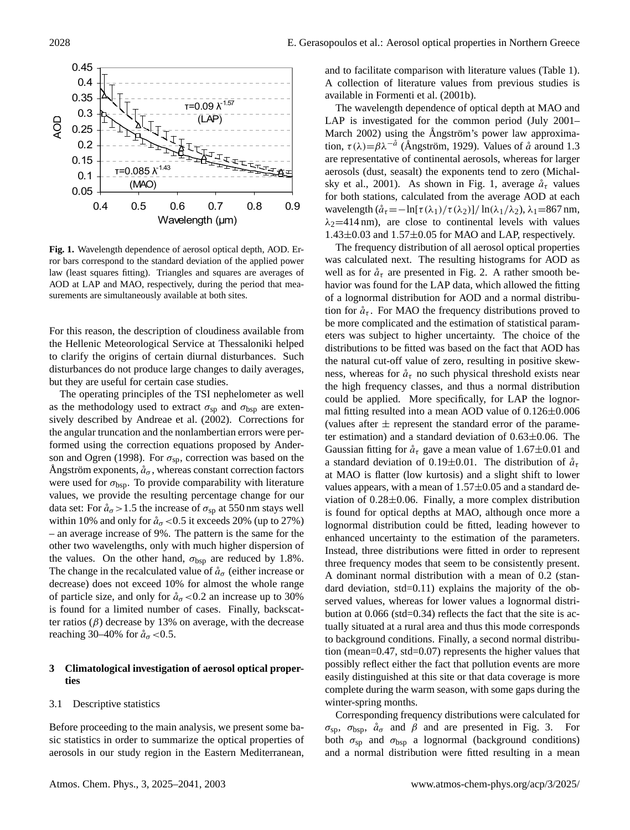

**Fig. 1.** Wavelength dependence of aerosol optical depth, AOD. Error bars correspond to the standard deviation of the applied power law (least squares fitting). Triangles and squares are averages of AOD at LAP and MAO, respectively, during the period that measurements are simultaneously available at both sites.

For this reason, the description of cloudiness available from the Hellenic Meteorological Service at Thessaloniki helped to clarify the origins of certain diurnal disturbances. Such disturbances do not produce large changes to daily averages, but they are useful for certain case studies.

The operating principles of the TSI nephelometer as well as the methodology used to extract  $\sigma_{sp}$  and  $\sigma_{bsp}$  are extensively described by Andreae et al. (2002). Corrections for the angular truncation and the nonlambertian errors were performed using the correction equations proposed by Anderson and Ogren (1998). For  $\sigma_{sp}$ , correction was based on the Angström exponents,  $\aa_{\sigma}$ , whereas constant correction factors were used for  $\sigma_{bsp}$ . To provide comparability with literature values, we provide the resulting percentage change for our data set: For  $\mathring{a}_{\sigma}$  > 1.5 the increase of  $\sigma_{sp}$  at 550 nm stays well within 10% and only for  $\mathring{a}_{\sigma}$  < 0.5 it exceeds 20% (up to 27%) – an average increase of 9%. The pattern is the same for the other two wavelengths, only with much higher dispersion of the values. On the other hand,  $\sigma_{bsp}$  are reduced by 1.8%. The change in the recalculated value of  $\mathring{a}_{\sigma}$  (either increase or decrease) does not exceed 10% for almost the whole range of particle size, and only for  $\hat{a}_{\sigma}$  < 0.2 an increase up to 30% is found for a limited number of cases. Finally, backscatter ratios  $(\beta)$  decrease by 13% on average, with the decrease reaching 30–40% for  $\aa_{\sigma}$  < 0.5.

## **3 Climatological investigation of aerosol optical properties**

#### 3.1 Descriptive statistics

Before proceeding to the main analysis, we present some basic statistics in order to summarize the optical properties of aerosols in our study region in the Eastern Mediterranean, and to facilitate comparison with literature values (Table 1). A collection of literature values from previous studies is available in Formenti et al. (2001b).

The wavelength dependence of optical depth at MAO and LAP is investigated for the common period (July 2001– March 2002) using the Angström's power law approximation,  $\tau(\lambda) = \beta \lambda^{-\hat{a}}$  (Angström, 1929). Values of  $\hat{a}$  around 1.3 are representative of continental aerosols, whereas for larger aerosols (dust, seasalt) the exponents tend to zero (Michalsky et al., 2001). As shown in Fig. 1, average  $\mathring{a}_{\tau}$  values for both stations, calculated from the average AOD at each wavelength  $(\hat{a}_{\tau} = -\ln[\tau(\lambda_1)/\tau(\lambda_2)]/\ln(\lambda_1/\lambda_2), \lambda_1 = 867 \text{ nm},$  $\lambda_2$ =414 nm), are close to continental levels with values  $1.43\pm0.03$  and  $1.57\pm0.05$  for MAO and LAP, respectively.

The frequency distribution of all aerosol optical properties was calculated next. The resulting histograms for AOD as well as for  $\hat{a}_{\tau}$  are presented in Fig. 2. A rather smooth behavior was found for the LAP data, which allowed the fitting of a lognormal distribution for AOD and a normal distribution for  $\mathring{a}_{\tau}$ . For MAO the frequency distributions proved to be more complicated and the estimation of statistical parameters was subject to higher uncertainty. The choice of the distributions to be fitted was based on the fact that AOD has the natural cut-off value of zero, resulting in positive skewness, whereas for  $\hat{a}_{\tau}$  no such physical threshold exists near the high frequency classes, and thus a normal distribution could be applied. More specifically, for LAP the lognormal fitting resulted into a mean AOD value of  $0.126 \pm 0.006$ (values after  $\pm$  represent the standard error of the parameter estimation) and a standard deviation of  $0.63\pm0.06$ . The Gaussian fitting for  $\mathring{a}_{\tau}$  gave a mean value of 1.67 $\pm$ 0.01 and a standard deviation of 0.19 $\pm$ 0.01. The distribution of  $\mathring{a}_{\tau}$ at MAO is flatter (low kurtosis) and a slight shift to lower values appears, with a mean of  $1.57\pm0.05$  and a standard deviation of  $0.28\pm0.06$ . Finally, a more complex distribution is found for optical depths at MAO, although once more a lognormal distribution could be fitted, leading however to enhanced uncertainty to the estimation of the parameters. Instead, three distributions were fitted in order to represent three frequency modes that seem to be consistently present. A dominant normal distribution with a mean of 0.2 (standard deviation, std=0.11) explains the majority of the observed values, whereas for lower values a lognormal distribution at 0.066 (std=0.34) reflects the fact that the site is actually situated at a rural area and thus this mode corresponds to background conditions. Finally, a second normal distribution (mean=0.47, std=0.07) represents the higher values that possibly reflect either the fact that pollution events are more easily distinguished at this site or that data coverage is more complete during the warm season, with some gaps during the winter-spring months.

Corresponding frequency distributions were calculated for σ<sub>sp</sub>, σ<sub>bsp</sub>,  $\overset{\circ}{a}$  and β and are presented in Fig. 3. For both  $\sigma_{sp}$  and  $\sigma_{bsp}$  a lognormal (background conditions) and a normal distribution were fitted resulting in a mean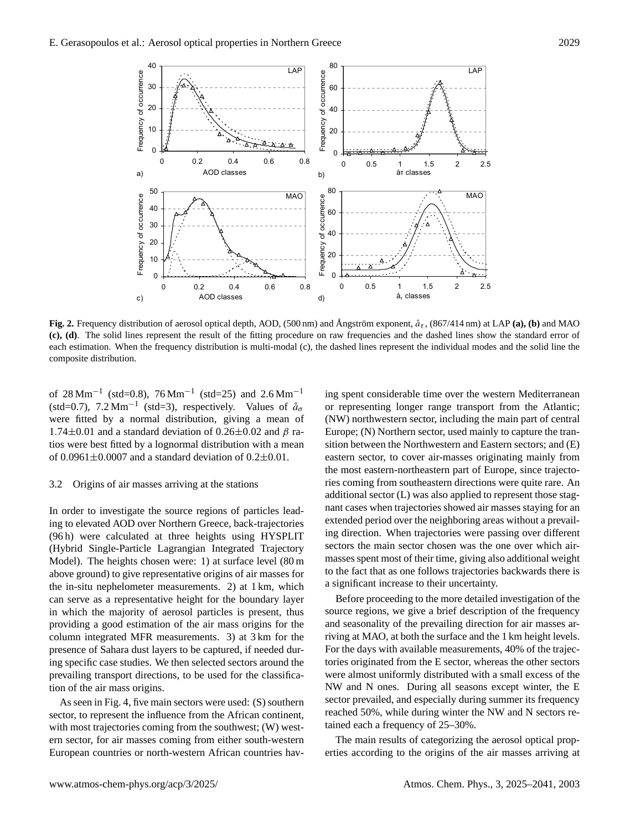

**Fig. 2.** Frequency distribution of aerosol optical depth, AOD, (500 nm) and Ångström exponent,  $\hat{a}_{\tau}$ , (867/414 nm) at LAP (a), (b) and MAO **(c), (d)**. The solid lines represent the result of the fitting procedure on raw frequencies and the dashed lines show the standard error of each estimation. When the frequency distribution is multi-modal (c), the dashed lines represent the individual modes and the solid line the composite distribution.

of  $28 \text{ Mm}^{-1}$  (std=0.8),  $76 \text{ Mm}^{-1}$  (std=25) and  $2.6 \text{ Mm}^{-1}$ (std=0.7),  $7.2 \text{ Mm}^{-1}$  (std=3), respectively. Values of  $\aa_0$ were fitted by a normal distribution, giving a mean of 1.74 $\pm$ 0.01 and a standard deviation of 0.26 $\pm$ 0.02 and  $\beta$  ratios were best fitted by a lognormal distribution with a mean of  $0.0961\pm0.0007$  and a standard deviation of  $0.2\pm0.01$ .

## 3.2 Origins of air masses arriving at the stations

In order to investigate the source regions of particles leading to elevated AOD over Northern Greece, back-trajectories (96 h) were calculated at three heights using HYSPLIT (Hybrid Single-Particle Lagrangian Integrated Trajectory Model). The heights chosen were: 1) at surface level (80 m above ground) to give representative origins of air masses for the in-situ nephelometer measurements. 2) at 1 km, which can serve as a representative height for the boundary layer in which the majority of aerosol particles is present, thus providing a good estimation of the air mass origins for the column integrated MFR measurements. 3) at 3 km for the presence of Sahara dust layers to be captured, if needed during specific case studies. We then selected sectors around the prevailing transport directions, to be used for the classification of the air mass origins.

As seen in Fig. 4, five main sectors were used: (S) southern sector, to represent the influence from the African continent, with most trajectories coming from the southwest; (W) western sector, for air masses coming from either south-western European countries or north-western African countries having spent considerable time over the western Mediterranean or representing longer range transport from the Atlantic; (NW) northwestern sector, including the main part of central Europe; (N) Northern sector, used mainly to capture the transition between the Northwestern and Eastern sectors; and (E) eastern sector, to cover air-masses originating mainly from the most eastern-northeastern part of Europe, since trajectories coming from southeastern directions were quite rare. An additional sector (L) was also applied to represent those stagnant cases when trajectories showed air masses staying for an extended period over the neighboring areas without a prevailing direction. When trajectories were passing over different sectors the main sector chosen was the one over which airmasses spent most of their time, giving also additional weight to the fact that as one follows trajectories backwards there is a significant increase to their uncertainty.

Before proceeding to the more detailed investigation of the source regions, we give a brief description of the frequency and seasonality of the prevailing direction for air masses arriving at MAO, at both the surface and the 1 km height levels. For the days with available measurements, 40% of the trajectories originated from the E sector, whereas the other sectors were almost uniformly distributed with a small excess of the NW and N ones. During all seasons except winter, the E sector prevailed, and especially during summer its frequency reached 50%, while during winter the NW and N sectors retained each a frequency of 25–30%.

The main results of categorizing the aerosol optical properties according to the origins of the air masses arriving at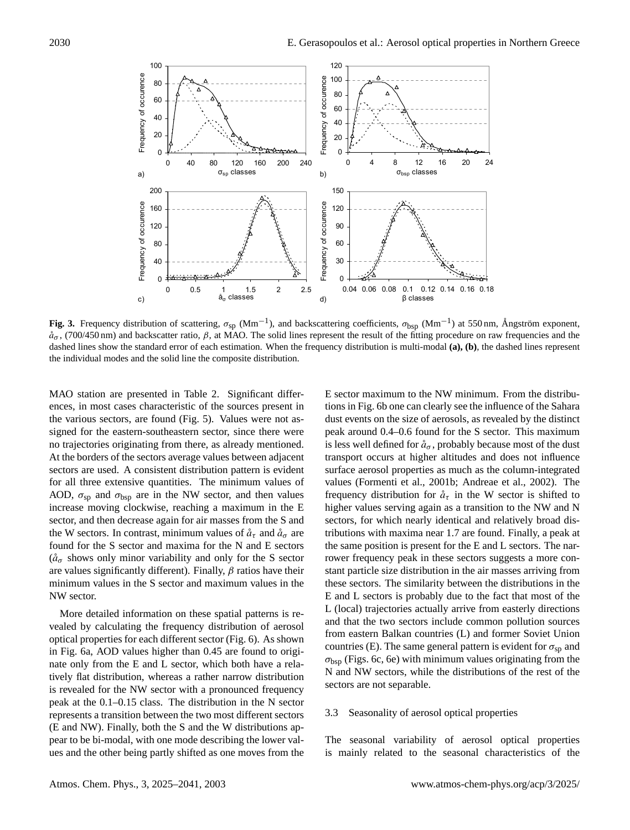

Fig. 3. Frequency distribution of scattering,  $\sigma_{sp}$  (Mm<sup>-1</sup>), and backscattering coefficients,  $\sigma_{bsp}$  (Mm<sup>-1</sup>) at 550 nm, Ångström exponent,  $\mathring{a}_{\sigma}$ , (700/450 nm) and backscatter ratio,  $\beta$ , at MAO. The solid lines represent the result of the fitting procedure on raw frequencies and the dashed lines show the standard error of each estimation. When the frequency distribution is multi-modal **(a), (b)**, the dashed lines represent the individual modes and the solid line the composite distribution.

MAO station are presented in Table 2. Significant differences, in most cases characteristic of the sources present in the various sectors, are found (Fig. 5). Values were not assigned for the eastern-southeastern sector, since there were no trajectories originating from there, as already mentioned. At the borders of the sectors average values between adjacent sectors are used. A consistent distribution pattern is evident for all three extensive quantities. The minimum values of AOD,  $\sigma_{sp}$  and  $\sigma_{bsp}$  are in the NW sector, and then values increase moving clockwise, reaching a maximum in the E sector, and then decrease again for air masses from the S and the W sectors. In contrast, minimum values of  $\hat{a}_{\tau}$  and  $\hat{a}_{\sigma}$  are found for the S sector and maxima for the N and E sectors  $(\hat{a}_{\sigma}$  shows only minor variability and only for the S sector are values significantly different). Finally,  $\beta$  ratios have their minimum values in the S sector and maximum values in the NW sector.

More detailed information on these spatial patterns is revealed by calculating the frequency distribution of aerosol optical properties for each different sector (Fig. 6). As shown in Fig. 6a, AOD values higher than 0.45 are found to originate only from the E and L sector, which both have a relatively flat distribution, whereas a rather narrow distribution is revealed for the NW sector with a pronounced frequency peak at the 0.1–0.15 class. The distribution in the N sector represents a transition between the two most different sectors (E and NW). Finally, both the S and the W distributions appear to be bi-modal, with one mode describing the lower values and the other being partly shifted as one moves from the E sector maximum to the NW minimum. From the distributions in Fig. 6b one can clearly see the influence of the Sahara dust events on the size of aerosols, as revealed by the distinct peak around 0.4–0.6 found for the S sector. This maximum is less well defined for  $\hat{a}_{\sigma}$ , probably because most of the dust transport occurs at higher altitudes and does not influence surface aerosol properties as much as the column-integrated values (Formenti et al., 2001b; Andreae et al., 2002). The frequency distribution for  $\mathring{a}_{\tau}$  in the W sector is shifted to higher values serving again as a transition to the NW and N sectors, for which nearly identical and relatively broad distributions with maxima near 1.7 are found. Finally, a peak at the same position is present for the E and L sectors. The narrower frequency peak in these sectors suggests a more constant particle size distribution in the air masses arriving from these sectors. The similarity between the distributions in the E and L sectors is probably due to the fact that most of the L (local) trajectories actually arrive from easterly directions and that the two sectors include common pollution sources from eastern Balkan countries (L) and former Soviet Union countries (E). The same general pattern is evident for  $\sigma_{\rm SD}$  and  $\sigma_{\rm bsp}$  (Figs. 6c, 6e) with minimum values originating from the N and NW sectors, while the distributions of the rest of the sectors are not separable.

#### 3.3 Seasonality of aerosol optical properties

The seasonal variability of aerosol optical properties is mainly related to the seasonal characteristics of the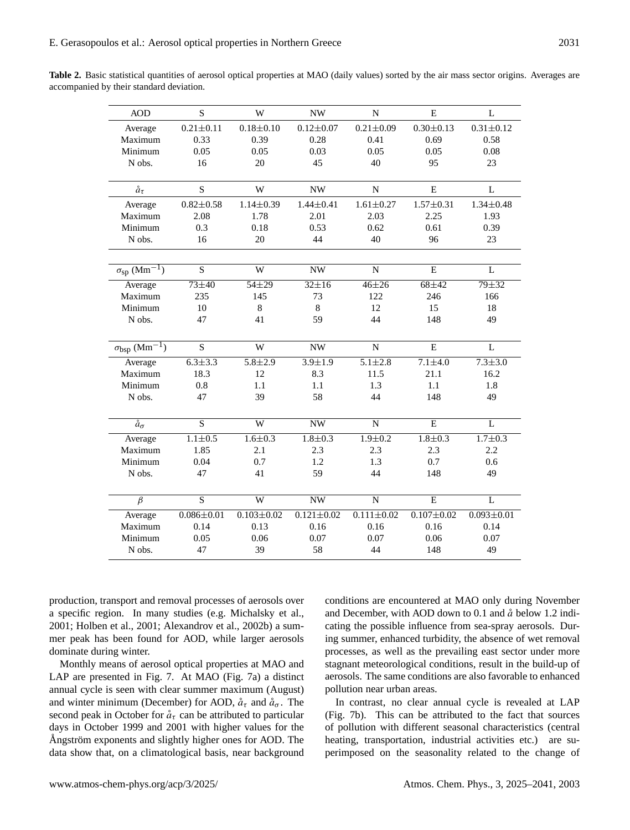Table 2. Basic statistical quantities of aerosol optical properties at MAO (daily values) sorted by the air mass sector origins. Averages are accompanied by their standard deviation.

| $0.21 \pm 0.11$<br>$0.18 + 0.10$<br>$0.21 \pm 0.09$<br>$0.30 \pm 0.13$<br>$0.31 \pm 0.12$<br>Average<br>$0.12 \pm 0.07$<br>0.39<br>0.28<br>0.58<br>Maximum<br>0.33<br>0.41<br>0.69<br>Minimum<br>0.05<br>0.03<br>0.05<br>0.05<br>0.05<br>0.08<br>16<br>20<br>45<br>40<br>95<br>23<br>N obs.<br>S<br>$\mathring{a}_{\tau}$<br>W<br>E<br>L<br><b>NW</b><br>N<br>$0.82 \pm 0.58$<br>$1.14 \pm 0.39$<br>$1.44 \pm 0.41$<br>$1.61 \pm 0.27$<br>$1.57 \pm 0.31$<br>$1.34 \pm 0.48$<br>Average<br>1.78<br>2.01<br>2.03<br>2.25<br>1.93<br>Maximum<br>2.08<br>0.53<br>Minimum<br>0.3<br>0.62<br>0.61<br>0.39<br>0.18<br>20<br>N obs.<br>16<br>44<br>40<br>96<br>23<br>$\sigma_{\rm sp}$ (Mm <sup>-1</sup> )<br>S<br>W<br><b>NW</b><br>$\mathbf N$<br>E<br>L<br>$73 + 40$<br>$54 + 29$<br>$32 \pm 16$<br>$46 + 26$<br>$68 + 42$<br>$79 + 32$<br>Average<br>Maximum<br>235<br>73<br>122<br>145<br>246<br>166<br>10<br>8<br>8<br>15<br>Minimum<br>12<br>18<br>47<br>41<br>59<br>44<br>49<br>N obs.<br>148<br>$\sigma_{\rm bsp}~(\overline{\rm Mm^{-1}})$<br>$\overline{s}$<br>W<br>${\bf E}$<br>$\mathbf L$<br>${\bf N}$<br>$\ensuremath{\text{NW}}$<br>Average<br>$6.\overline{3\pm 3.3}$<br>$5.8 \pm 2.9$<br>$3.9 \pm 1.9$<br>$5.1 \pm 2.8$<br>$7.1 \pm 4.0$<br>$7.3 + 3.0$<br>Maximum<br>12<br>8.3<br>16.2<br>18.3<br>11.5<br>21.1<br>Minimum<br>0.8<br>1.3<br>1.1<br>1.1<br>1.1<br>1.8<br>N obs.<br>58<br>44<br>47<br>39<br>148<br>49<br>$\overline{S}$<br>$\overline{\text{W}}$<br>NW<br>$\overline{E}$<br>$\overline{L}$<br>$\ddot{a}_{\sigma}$<br>$\mathbf N$<br>$1.7 \pm 0.3$<br>$1.1 \pm 0.5$<br>$1.6 \pm 0.3$<br>$1.8 \pm 0.3$<br>$1.9 \pm 0.2$<br>$1.8 \pm 0.3$<br>Average<br>Maximum<br>1.85<br>2.1<br>2.3<br>2.3<br>2.3<br>2.2<br>0.7<br>0.7<br>0.6<br>Minimum<br>0.04<br>1.2<br>1.3<br>N obs.<br>47<br>41<br>59<br>44<br>148<br>49<br>$\overline{s}$<br>$\overline{W}$<br>$\overline{E}$<br>$\overline{\beta}$<br><b>NW</b><br>$\mathbf N$<br>L<br>$0.086 \pm 0.01$<br>$0.103 \pm 0.02$<br>$0.121 \pm 0.02$<br>$0.111 \pm 0.02$<br>$0.107 + 0.02$<br>$0.093 \pm 0.01$<br>Average<br>Maximum<br>0.14<br>0.13<br>0.16<br>0.16<br>0.16<br>0.14<br>Minimum<br>0.05<br>0.06<br>0.07<br>0.06<br>0.07<br>0.07<br>N obs.<br>47<br>39<br>58<br>44<br>49<br>148 | <b>AOD</b> | S | W | <b>NW</b> | N | E | L |
|----------------------------------------------------------------------------------------------------------------------------------------------------------------------------------------------------------------------------------------------------------------------------------------------------------------------------------------------------------------------------------------------------------------------------------------------------------------------------------------------------------------------------------------------------------------------------------------------------------------------------------------------------------------------------------------------------------------------------------------------------------------------------------------------------------------------------------------------------------------------------------------------------------------------------------------------------------------------------------------------------------------------------------------------------------------------------------------------------------------------------------------------------------------------------------------------------------------------------------------------------------------------------------------------------------------------------------------------------------------------------------------------------------------------------------------------------------------------------------------------------------------------------------------------------------------------------------------------------------------------------------------------------------------------------------------------------------------------------------------------------------------------------------------------------------------------------------------------------------------------------------------------------------------------------------------------------------------------------------------------------------------------------------------------------------------------------------------------------------------------------------------------------------------------------------------------------------------------------------------------------------|------------|---|---|-----------|---|---|---|
|                                                                                                                                                                                                                                                                                                                                                                                                                                                                                                                                                                                                                                                                                                                                                                                                                                                                                                                                                                                                                                                                                                                                                                                                                                                                                                                                                                                                                                                                                                                                                                                                                                                                                                                                                                                                                                                                                                                                                                                                                                                                                                                                                                                                                                                          |            |   |   |           |   |   |   |
|                                                                                                                                                                                                                                                                                                                                                                                                                                                                                                                                                                                                                                                                                                                                                                                                                                                                                                                                                                                                                                                                                                                                                                                                                                                                                                                                                                                                                                                                                                                                                                                                                                                                                                                                                                                                                                                                                                                                                                                                                                                                                                                                                                                                                                                          |            |   |   |           |   |   |   |
|                                                                                                                                                                                                                                                                                                                                                                                                                                                                                                                                                                                                                                                                                                                                                                                                                                                                                                                                                                                                                                                                                                                                                                                                                                                                                                                                                                                                                                                                                                                                                                                                                                                                                                                                                                                                                                                                                                                                                                                                                                                                                                                                                                                                                                                          |            |   |   |           |   |   |   |
|                                                                                                                                                                                                                                                                                                                                                                                                                                                                                                                                                                                                                                                                                                                                                                                                                                                                                                                                                                                                                                                                                                                                                                                                                                                                                                                                                                                                                                                                                                                                                                                                                                                                                                                                                                                                                                                                                                                                                                                                                                                                                                                                                                                                                                                          |            |   |   |           |   |   |   |
|                                                                                                                                                                                                                                                                                                                                                                                                                                                                                                                                                                                                                                                                                                                                                                                                                                                                                                                                                                                                                                                                                                                                                                                                                                                                                                                                                                                                                                                                                                                                                                                                                                                                                                                                                                                                                                                                                                                                                                                                                                                                                                                                                                                                                                                          |            |   |   |           |   |   |   |
|                                                                                                                                                                                                                                                                                                                                                                                                                                                                                                                                                                                                                                                                                                                                                                                                                                                                                                                                                                                                                                                                                                                                                                                                                                                                                                                                                                                                                                                                                                                                                                                                                                                                                                                                                                                                                                                                                                                                                                                                                                                                                                                                                                                                                                                          |            |   |   |           |   |   |   |
|                                                                                                                                                                                                                                                                                                                                                                                                                                                                                                                                                                                                                                                                                                                                                                                                                                                                                                                                                                                                                                                                                                                                                                                                                                                                                                                                                                                                                                                                                                                                                                                                                                                                                                                                                                                                                                                                                                                                                                                                                                                                                                                                                                                                                                                          |            |   |   |           |   |   |   |
|                                                                                                                                                                                                                                                                                                                                                                                                                                                                                                                                                                                                                                                                                                                                                                                                                                                                                                                                                                                                                                                                                                                                                                                                                                                                                                                                                                                                                                                                                                                                                                                                                                                                                                                                                                                                                                                                                                                                                                                                                                                                                                                                                                                                                                                          |            |   |   |           |   |   |   |
|                                                                                                                                                                                                                                                                                                                                                                                                                                                                                                                                                                                                                                                                                                                                                                                                                                                                                                                                                                                                                                                                                                                                                                                                                                                                                                                                                                                                                                                                                                                                                                                                                                                                                                                                                                                                                                                                                                                                                                                                                                                                                                                                                                                                                                                          |            |   |   |           |   |   |   |
|                                                                                                                                                                                                                                                                                                                                                                                                                                                                                                                                                                                                                                                                                                                                                                                                                                                                                                                                                                                                                                                                                                                                                                                                                                                                                                                                                                                                                                                                                                                                                                                                                                                                                                                                                                                                                                                                                                                                                                                                                                                                                                                                                                                                                                                          |            |   |   |           |   |   |   |
|                                                                                                                                                                                                                                                                                                                                                                                                                                                                                                                                                                                                                                                                                                                                                                                                                                                                                                                                                                                                                                                                                                                                                                                                                                                                                                                                                                                                                                                                                                                                                                                                                                                                                                                                                                                                                                                                                                                                                                                                                                                                                                                                                                                                                                                          |            |   |   |           |   |   |   |
|                                                                                                                                                                                                                                                                                                                                                                                                                                                                                                                                                                                                                                                                                                                                                                                                                                                                                                                                                                                                                                                                                                                                                                                                                                                                                                                                                                                                                                                                                                                                                                                                                                                                                                                                                                                                                                                                                                                                                                                                                                                                                                                                                                                                                                                          |            |   |   |           |   |   |   |
|                                                                                                                                                                                                                                                                                                                                                                                                                                                                                                                                                                                                                                                                                                                                                                                                                                                                                                                                                                                                                                                                                                                                                                                                                                                                                                                                                                                                                                                                                                                                                                                                                                                                                                                                                                                                                                                                                                                                                                                                                                                                                                                                                                                                                                                          |            |   |   |           |   |   |   |
|                                                                                                                                                                                                                                                                                                                                                                                                                                                                                                                                                                                                                                                                                                                                                                                                                                                                                                                                                                                                                                                                                                                                                                                                                                                                                                                                                                                                                                                                                                                                                                                                                                                                                                                                                                                                                                                                                                                                                                                                                                                                                                                                                                                                                                                          |            |   |   |           |   |   |   |
|                                                                                                                                                                                                                                                                                                                                                                                                                                                                                                                                                                                                                                                                                                                                                                                                                                                                                                                                                                                                                                                                                                                                                                                                                                                                                                                                                                                                                                                                                                                                                                                                                                                                                                                                                                                                                                                                                                                                                                                                                                                                                                                                                                                                                                                          |            |   |   |           |   |   |   |
|                                                                                                                                                                                                                                                                                                                                                                                                                                                                                                                                                                                                                                                                                                                                                                                                                                                                                                                                                                                                                                                                                                                                                                                                                                                                                                                                                                                                                                                                                                                                                                                                                                                                                                                                                                                                                                                                                                                                                                                                                                                                                                                                                                                                                                                          |            |   |   |           |   |   |   |
|                                                                                                                                                                                                                                                                                                                                                                                                                                                                                                                                                                                                                                                                                                                                                                                                                                                                                                                                                                                                                                                                                                                                                                                                                                                                                                                                                                                                                                                                                                                                                                                                                                                                                                                                                                                                                                                                                                                                                                                                                                                                                                                                                                                                                                                          |            |   |   |           |   |   |   |
|                                                                                                                                                                                                                                                                                                                                                                                                                                                                                                                                                                                                                                                                                                                                                                                                                                                                                                                                                                                                                                                                                                                                                                                                                                                                                                                                                                                                                                                                                                                                                                                                                                                                                                                                                                                                                                                                                                                                                                                                                                                                                                                                                                                                                                                          |            |   |   |           |   |   |   |
|                                                                                                                                                                                                                                                                                                                                                                                                                                                                                                                                                                                                                                                                                                                                                                                                                                                                                                                                                                                                                                                                                                                                                                                                                                                                                                                                                                                                                                                                                                                                                                                                                                                                                                                                                                                                                                                                                                                                                                                                                                                                                                                                                                                                                                                          |            |   |   |           |   |   |   |
|                                                                                                                                                                                                                                                                                                                                                                                                                                                                                                                                                                                                                                                                                                                                                                                                                                                                                                                                                                                                                                                                                                                                                                                                                                                                                                                                                                                                                                                                                                                                                                                                                                                                                                                                                                                                                                                                                                                                                                                                                                                                                                                                                                                                                                                          |            |   |   |           |   |   |   |
|                                                                                                                                                                                                                                                                                                                                                                                                                                                                                                                                                                                                                                                                                                                                                                                                                                                                                                                                                                                                                                                                                                                                                                                                                                                                                                                                                                                                                                                                                                                                                                                                                                                                                                                                                                                                                                                                                                                                                                                                                                                                                                                                                                                                                                                          |            |   |   |           |   |   |   |
|                                                                                                                                                                                                                                                                                                                                                                                                                                                                                                                                                                                                                                                                                                                                                                                                                                                                                                                                                                                                                                                                                                                                                                                                                                                                                                                                                                                                                                                                                                                                                                                                                                                                                                                                                                                                                                                                                                                                                                                                                                                                                                                                                                                                                                                          |            |   |   |           |   |   |   |
|                                                                                                                                                                                                                                                                                                                                                                                                                                                                                                                                                                                                                                                                                                                                                                                                                                                                                                                                                                                                                                                                                                                                                                                                                                                                                                                                                                                                                                                                                                                                                                                                                                                                                                                                                                                                                                                                                                                                                                                                                                                                                                                                                                                                                                                          |            |   |   |           |   |   |   |
|                                                                                                                                                                                                                                                                                                                                                                                                                                                                                                                                                                                                                                                                                                                                                                                                                                                                                                                                                                                                                                                                                                                                                                                                                                                                                                                                                                                                                                                                                                                                                                                                                                                                                                                                                                                                                                                                                                                                                                                                                                                                                                                                                                                                                                                          |            |   |   |           |   |   |   |
|                                                                                                                                                                                                                                                                                                                                                                                                                                                                                                                                                                                                                                                                                                                                                                                                                                                                                                                                                                                                                                                                                                                                                                                                                                                                                                                                                                                                                                                                                                                                                                                                                                                                                                                                                                                                                                                                                                                                                                                                                                                                                                                                                                                                                                                          |            |   |   |           |   |   |   |
|                                                                                                                                                                                                                                                                                                                                                                                                                                                                                                                                                                                                                                                                                                                                                                                                                                                                                                                                                                                                                                                                                                                                                                                                                                                                                                                                                                                                                                                                                                                                                                                                                                                                                                                                                                                                                                                                                                                                                                                                                                                                                                                                                                                                                                                          |            |   |   |           |   |   |   |
|                                                                                                                                                                                                                                                                                                                                                                                                                                                                                                                                                                                                                                                                                                                                                                                                                                                                                                                                                                                                                                                                                                                                                                                                                                                                                                                                                                                                                                                                                                                                                                                                                                                                                                                                                                                                                                                                                                                                                                                                                                                                                                                                                                                                                                                          |            |   |   |           |   |   |   |
|                                                                                                                                                                                                                                                                                                                                                                                                                                                                                                                                                                                                                                                                                                                                                                                                                                                                                                                                                                                                                                                                                                                                                                                                                                                                                                                                                                                                                                                                                                                                                                                                                                                                                                                                                                                                                                                                                                                                                                                                                                                                                                                                                                                                                                                          |            |   |   |           |   |   |   |
|                                                                                                                                                                                                                                                                                                                                                                                                                                                                                                                                                                                                                                                                                                                                                                                                                                                                                                                                                                                                                                                                                                                                                                                                                                                                                                                                                                                                                                                                                                                                                                                                                                                                                                                                                                                                                                                                                                                                                                                                                                                                                                                                                                                                                                                          |            |   |   |           |   |   |   |
|                                                                                                                                                                                                                                                                                                                                                                                                                                                                                                                                                                                                                                                                                                                                                                                                                                                                                                                                                                                                                                                                                                                                                                                                                                                                                                                                                                                                                                                                                                                                                                                                                                                                                                                                                                                                                                                                                                                                                                                                                                                                                                                                                                                                                                                          |            |   |   |           |   |   |   |
|                                                                                                                                                                                                                                                                                                                                                                                                                                                                                                                                                                                                                                                                                                                                                                                                                                                                                                                                                                                                                                                                                                                                                                                                                                                                                                                                                                                                                                                                                                                                                                                                                                                                                                                                                                                                                                                                                                                                                                                                                                                                                                                                                                                                                                                          |            |   |   |           |   |   |   |
|                                                                                                                                                                                                                                                                                                                                                                                                                                                                                                                                                                                                                                                                                                                                                                                                                                                                                                                                                                                                                                                                                                                                                                                                                                                                                                                                                                                                                                                                                                                                                                                                                                                                                                                                                                                                                                                                                                                                                                                                                                                                                                                                                                                                                                                          |            |   |   |           |   |   |   |
|                                                                                                                                                                                                                                                                                                                                                                                                                                                                                                                                                                                                                                                                                                                                                                                                                                                                                                                                                                                                                                                                                                                                                                                                                                                                                                                                                                                                                                                                                                                                                                                                                                                                                                                                                                                                                                                                                                                                                                                                                                                                                                                                                                                                                                                          |            |   |   |           |   |   |   |
|                                                                                                                                                                                                                                                                                                                                                                                                                                                                                                                                                                                                                                                                                                                                                                                                                                                                                                                                                                                                                                                                                                                                                                                                                                                                                                                                                                                                                                                                                                                                                                                                                                                                                                                                                                                                                                                                                                                                                                                                                                                                                                                                                                                                                                                          |            |   |   |           |   |   |   |

production, transport and removal processes of aerosols over a specific region. In many studies (e.g. Michalsky et al., 2001; Holben et al., 2001; Alexandrov et al., 2002b) a summer peak has been found for AOD, while larger aerosols dominate during winter.

Monthly means of aerosol optical properties at MAO and LAP are presented in Fig. 7. At MAO (Fig. 7a) a distinct annual cycle is seen with clear summer maximum (August) and winter minimum (December) for AOD,  $\hat{a}_{\tau}$  and  $\hat{a}_{\sigma}$ . The second peak in October for  $\hat{a}_{\tau}$  can be attributed to particular days in October 1999 and 2001 with higher values for the Angström exponents and slightly higher ones for AOD. The data show that, on a climatological basis, near background

conditions are encountered at MAO only during November and December, with AOD down to 0.1 and  $\aa$  below 1.2 indicating the possible influence from sea-spray aerosols. During summer, enhanced turbidity, the absence of wet removal processes, as well as the prevailing east sector under more stagnant meteorological conditions, result in the build-up of aerosols. The same conditions are also favorable to enhanced pollution near urban areas.

In contrast, no clear annual cycle is revealed at LAP (Fig. 7b). This can be attributed to the fact that sources of pollution with different seasonal characteristics (central heating, transportation, industrial activities etc.) are superimposed on the seasonality related to the change of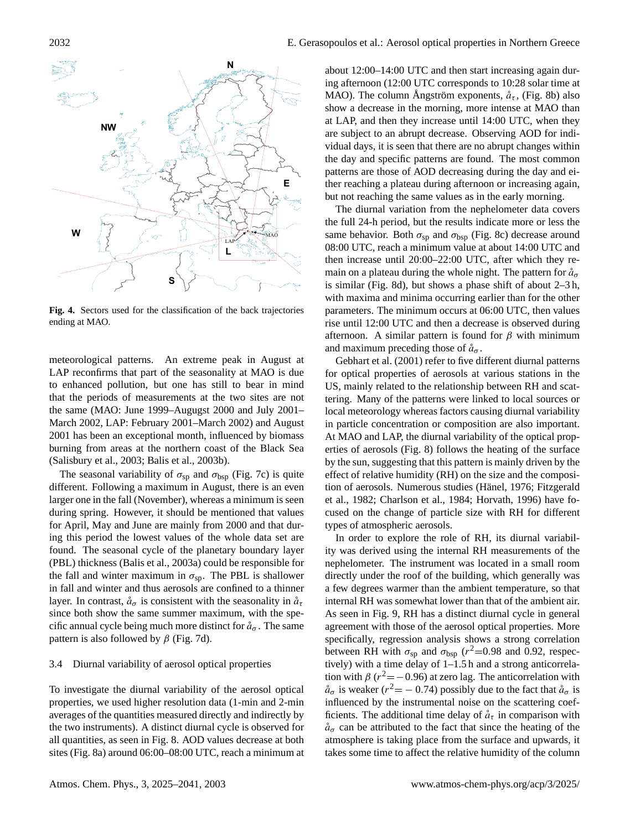

**Fig. 4.** Sectors used for the classification of the back trajectories ending at MAO.

meteorological patterns. An extreme peak in August at LAP reconfirms that part of the seasonality at MAO is due to enhanced pollution, but one has still to bear in mind that the periods of measurements at the two sites are not the same (MAO: June 1999–Augugst 2000 and July 2001– March 2002, LAP: February 2001–March 2002) and August 2001 has been an exceptional month, influenced by biomass burning from areas at the northern coast of the Black Sea (Salisbury et al., 2003; Balis et al., 2003b).

The seasonal variability of  $\sigma_{sp}$  and  $\sigma_{bsp}$  (Fig. 7c) is quite different. Following a maximum in August, there is an even larger one in the fall (November), whereas a minimum is seen during spring. However, it should be mentioned that values for April, May and June are mainly from 2000 and that during this period the lowest values of the whole data set are found. The seasonal cycle of the planetary boundary layer (PBL) thickness (Balis et al., 2003a) could be responsible for the fall and winter maximum in  $\sigma_{\rm sp}$ . The PBL is shallower in fall and winter and thus aerosols are confined to a thinner layer. In contrast,  $\mathring{a}_{\sigma}$  is consistent with the seasonality in  $\mathring{a}_{\tau}$ since both show the same summer maximum, with the specific annual cycle being much more distinct for  $\aa_{\sigma}$ . The same pattern is also followed by  $\beta$  (Fig. 7d).

### 3.4 Diurnal variability of aerosol optical properties

To investigate the diurnal variability of the aerosol optical properties, we used higher resolution data (1-min and 2-min averages of the quantities measured directly and indirectly by the two instruments). A distinct diurnal cycle is observed for all quantities, as seen in Fig. 8. AOD values decrease at both sites (Fig. 8a) around 06:00–08:00 UTC, reach a minimum at about 12:00–14:00 UTC and then start increasing again during afternoon (12:00 UTC corresponds to 10:28 solar time at MAO). The column Angström exponents,  $\hat{a}_{\tau}$ , (Fig. 8b) also show a decrease in the morning, more intense at MAO than at LAP, and then they increase until 14:00 UTC, when they are subject to an abrupt decrease. Observing AOD for individual days, it is seen that there are no abrupt changes within the day and specific patterns are found. The most common patterns are those of AOD decreasing during the day and either reaching a plateau during afternoon or increasing again, but not reaching the same values as in the early morning.

The diurnal variation from the nephelometer data covers the full 24-h period, but the results indicate more or less the same behavior. Both  $\sigma_{sp}$  and  $\sigma_{bsp}$  (Fig. 8c) decrease around 08:00 UTC, reach a minimum value at about 14:00 UTC and then increase until 20:00–22:00 UTC, after which they remain on a plateau during the whole night. The pattern for  $\mathring{a}_{\sigma}$ is similar (Fig. 8d), but shows a phase shift of about 2–3 h, with maxima and minima occurring earlier than for the other parameters. The minimum occurs at 06:00 UTC, then values rise until 12:00 UTC and then a decrease is observed during afternoon. A similar pattern is found for  $\beta$  with minimum and maximum preceding those of  $\mathring{a}_{\sigma}$ .

Gebhart et al. (2001) refer to five different diurnal patterns for optical properties of aerosols at various stations in the US, mainly related to the relationship between RH and scattering. Many of the patterns were linked to local sources or local meteorology whereas factors causing diurnal variability in particle concentration or composition are also important. At MAO and LAP, the diurnal variability of the optical properties of aerosols (Fig. 8) follows the heating of the surface by the sun, suggesting that this pattern is mainly driven by the effect of relative humidity (RH) on the size and the composition of aerosols. Numerous studies (Hänel, 1976; Fitzgerald et al., 1982; Charlson et al., 1984; Horvath, 1996) have focused on the change of particle size with RH for different types of atmospheric aerosols.

In order to explore the role of RH, its diurnal variability was derived using the internal RH measurements of the nephelometer. The instrument was located in a small room directly under the roof of the building, which generally was a few degrees warmer than the ambient temperature, so that internal RH was somewhat lower than that of the ambient air. As seen in Fig. 9, RH has a distinct diurnal cycle in general agreement with those of the aerosol optical properties. More specifically, regression analysis shows a strong correlation between RH with  $\sigma_{sp}$  and  $\sigma_{bsp}$  ( $r^2$ =0.98 and 0.92, respectively) with a time delay of 1–1.5 h and a strong anticorrelation with  $\beta$  ( $r^2 = -0.96$ ) at zero lag. The anticorrelation with  $\aa_{\sigma}$  is weaker ( $r^2 = -0.74$ ) possibly due to the fact that  $\aa_{\sigma}$  is influenced by the instrumental noise on the scattering coefficients. The additional time delay of  $\hat{a}_{\tau}$  in comparison with  $\hat{a}_{\sigma}$  can be attributed to the fact that since the heating of the atmosphere is taking place from the surface and upwards, it takes some time to affect the relative humidity of the column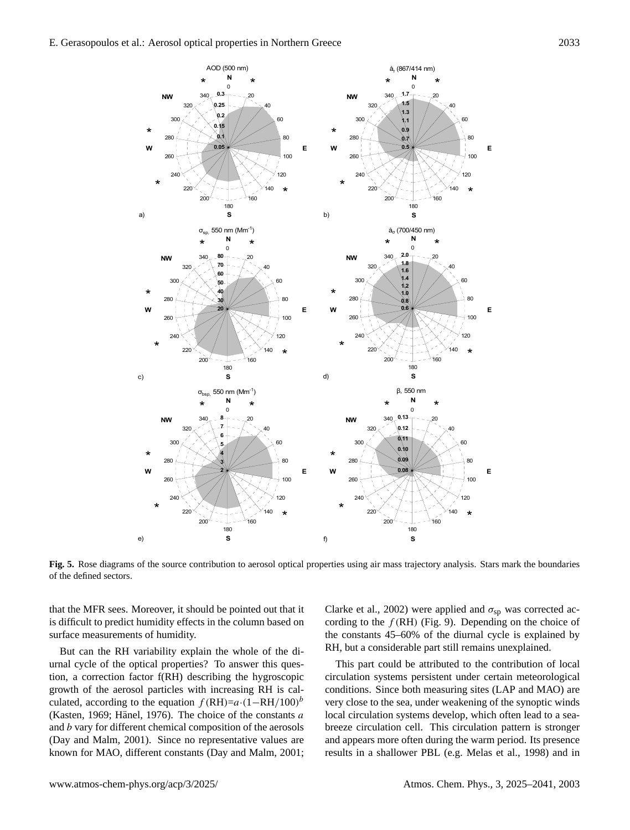

**Fig. 5.** Rose diagrams of the source contribution to aerosol optical properties using air mass trajectory analysis. Stars mark the boundaries of the defined sectors.

that the MFR sees. Moreover, it should be pointed out that it is difficult to predict humidity effects in the column based on surface measurements of humidity.

But can the RH variability explain the whole of the diurnal cycle of the optical properties? To answer this question, a correction factor f(RH) describing the hygroscopic growth of the aerosol particles with increasing RH is calculated, according to the equation  $f(RH)=a \cdot (1 - RH/100)^b$ (Kasten, 1969; Hänel, 1976). The choice of the constants  $a$ and b vary for different chemical composition of the aerosols (Day and Malm, 2001). Since no representative values are known for MAO, different constants (Day and Malm, 2001; Clarke et al., 2002) were applied and  $\sigma_{sp}$  was corrected according to the  $f(RH)$  (Fig. 9). Depending on the choice of the constants 45–60% of the diurnal cycle is explained by RH, but a considerable part still remains unexplained.

This part could be attributed to the contribution of local circulation systems persistent under certain meteorological conditions. Since both measuring sites (LAP and MAO) are very close to the sea, under weakening of the synoptic winds local circulation systems develop, which often lead to a seabreeze circulation cell. This circulation pattern is stronger and appears more often during the warm period. Its presence results in a shallower PBL (e.g. Melas et al., 1998) and in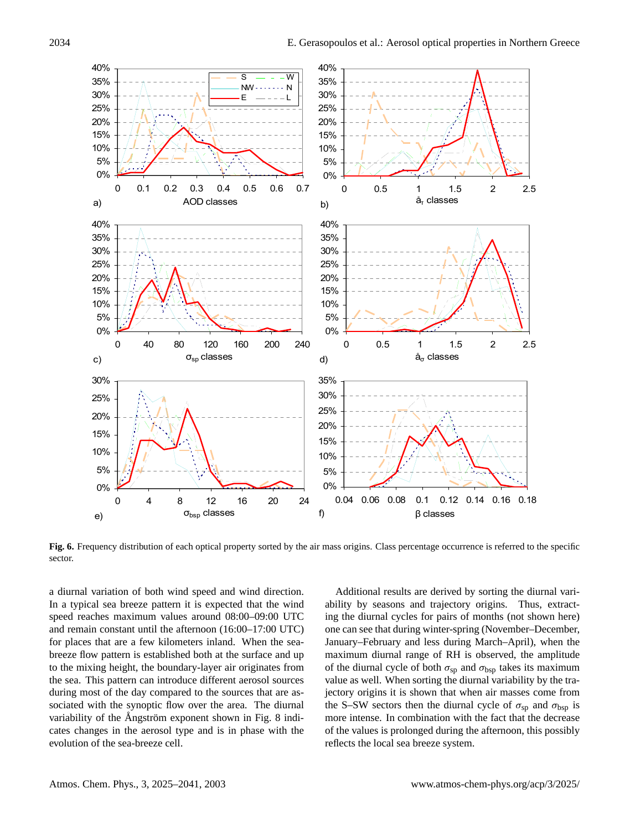

**Fig. 6.** Frequency distribution of each optical property sorted by the air mass origins. Class percentage occurrence is referred to the specific sector.

a diurnal variation of both wind speed and wind direction. In a typical sea breeze pattern it is expected that the wind speed reaches maximum values around 08:00–09:00 UTC and remain constant until the afternoon (16:00–17:00 UTC) for places that are a few kilometers inland. When the seabreeze flow pattern is established both at the surface and up to the mixing height, the boundary-layer air originates from the sea. This pattern can introduce different aerosol sources during most of the day compared to the sources that are associated with the synoptic flow over the area. The diurnal variability of the Ångström exponent shown in Fig. 8 indicates changes in the aerosol type and is in phase with the evolution of the sea-breeze cell.

Additional results are derived by sorting the diurnal variability by seasons and trajectory origins. Thus, extracting the diurnal cycles for pairs of months (not shown here) one can see that during winter-spring (November–December, January–February and less during March–April), when the maximum diurnal range of RH is observed, the amplitude of the diurnal cycle of both  $\sigma_{sp}$  and  $\sigma_{bsp}$  takes its maximum value as well. When sorting the diurnal variability by the trajectory origins it is shown that when air masses come from the S–SW sectors then the diurnal cycle of  $\sigma_{sp}$  and  $\sigma_{bsp}$  is more intense. In combination with the fact that the decrease of the values is prolonged during the afternoon, this possibly reflects the local sea breeze system.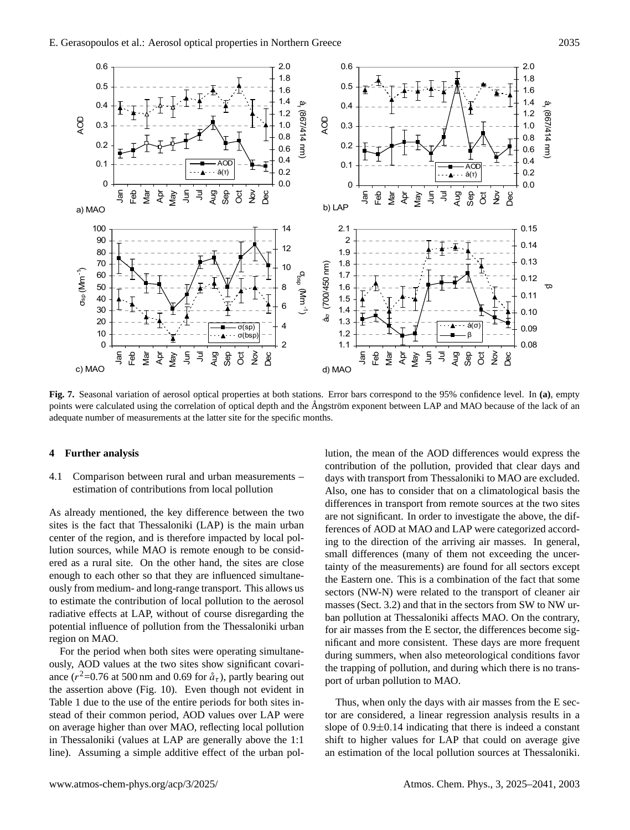

 **Fig. 7.** Seasonal variation of aerosol optical properties at both stations. Error bars correspond to the 95% confidence level. In **(a)**, empty points were calculated using the correlation of optical depth and the Angström exponent between LAP and MAO because of the lack of an adequate number of measurements at the latter site for the specific months.

#### **4 Further analysis**

4.1 Comparison between rural and urban measurements – estimation of contributions from local pollution

As already mentioned, the key difference between the two sites is the fact that Thessaloniki (LAP) is the main urban center of the region, and is therefore impacted by local pollution sources, while MAO is remote enough to be considered as a rural site. On the other hand, the sites are close enough to each other so that they are influenced simultaneously from medium- and long-range transport. This allows us to estimate the contribution of local pollution to the aerosol radiative effects at LAP, without of course disregarding the potential influence of pollution from the Thessaloniki urban region on MAO.

For the period when both sites were operating simultaneously, AOD values at the two sites show significant covariance ( $r^2$ =0.76 at 500 nm and 0.69 for  $\mathring{a}_{\tau}$ ), partly bearing out the assertion above (Fig. 10). Even though not evident in Table 1 due to the use of the entire periods for both sites instead of their common period, AOD values over LAP were on average higher than over MAO, reflecting local pollution in Thessaloniki (values at LAP are generally above the 1:1 line). Assuming a simple additive effect of the urban pollution, the mean of the AOD differences would express the contribution of the pollution, provided that clear days and days with transport from Thessaloniki to MAO are excluded. Also, one has to consider that on a climatological basis the differences in transport from remote sources at the two sites are not significant. In order to investigate the above, the differences of AOD at MAO and LAP were categorized according to the direction of the arriving air masses. In general, small differences (many of them not exceeding the uncertainty of the measurements) are found for all sectors except the Eastern one. This is a combination of the fact that some sectors (NW-N) were related to the transport of cleaner air masses (Sect. 3.2) and that in the sectors from SW to NW urban pollution at Thessaloniki affects MAO. On the contrary, for air masses from the E sector, the differences become significant and more consistent. These days are more frequent during summers, when also meteorological conditions favor the trapping of pollution, and during which there is no transport of urban pollution to MAO.

Thus, when only the days with air masses from the E sector are considered, a linear regression analysis results in a slope of 0.9±0.14 indicating that there is indeed a constant shift to higher values for LAP that could on average give an estimation of the local pollution sources at Thessaloniki.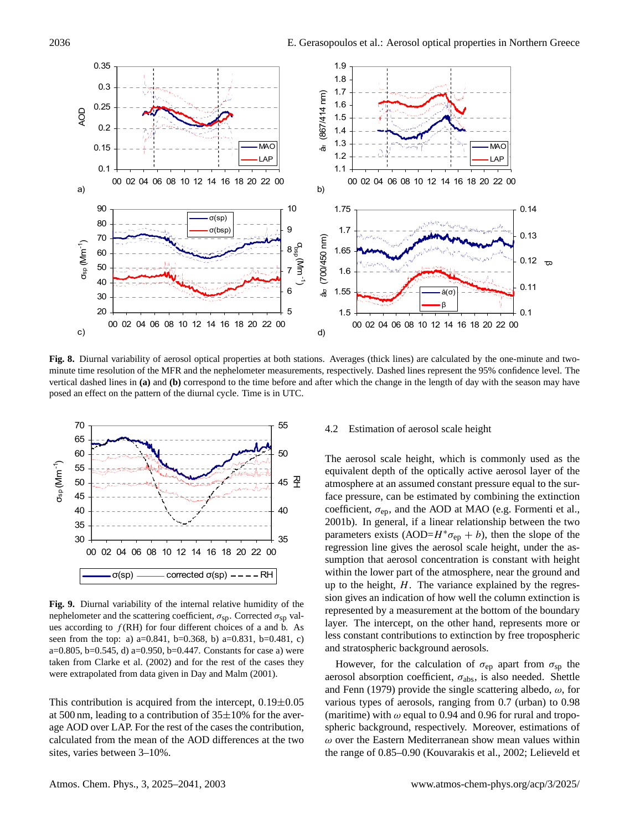

Fig. 8. Diurnal variability of aerosol optical properties at both stations. Averages (thick lines) are calculated by the one-minute and twominute time resolution of the MFR and the nephelometer measurements, respectively. Dashed lines represent the 95% confidence level. The vertical dashed lines in **(a)** and **(b)** correspond to the time before and after which the change in the length of day with the season may have posed an effect on the pattern of the diurnal cycle. Time is in UTC.



**Fig. 9.** Diurnal variability of the internal relative humidity of the nephelometer and the scattering coefficient,  $\sigma_{\rm sp}$ . Corrected  $\sigma_{\rm sp}$  values according to  $f(RH)$  for four different choices of a and b. As seen from the top: a) a=0.841, b=0.368, b) a=0.831, b=0.481, c) a=0.805, b=0.545, d) a=0.950, b=0.447. Constants for case a) were taken from Clarke et al. (2002) and for the rest of the cases they were extrapolated from data given in Day and Malm (2001).

This contribution is acquired from the intercept,  $0.19\pm0.05$ at 500 nm, leading to a contribution of  $35\pm10$ % for the average AOD over LAP. For the rest of the cases the contribution, calculated from the mean of the AOD differences at the two sites, varies between 3–10%.

## 4.2 Estimation of aerosol scale height

The aerosol scale height, which is commonly used as the equivalent depth of the optically active aerosol layer of the atmosphere at an assumed constant pressure equal to the surface pressure, can be estimated by combining the extinction coefficient,  $\sigma_{ep}$ , and the AOD at MAO (e.g. Formenti et al., 2001b). In general, if a linear relationship between the two parameters exists (AOD= $H^*\sigma_{ep} + b$ ), then the slope of the regression line gives the aerosol scale height, under the assumption that aerosol concentration is constant with height within the lower part of the atmosphere, near the ground and up to the height,  $H$ . The variance explained by the regression gives an indication of how well the column extinction is represented by a measurement at the bottom of the boundary layer. The intercept, on the other hand, represents more or less constant contributions to extinction by free tropospheric and stratospheric background aerosols.

However, for the calculation of  $\sigma_{ep}$  apart from  $\sigma_{sp}$  the aerosol absorption coefficient,  $\sigma_{\text{abs}}$ , is also needed. Shettle and Fenn (1979) provide the single scattering albedo,  $\omega$ , for various types of aerosols, ranging from 0.7 (urban) to 0.98 (maritime) with  $\omega$  equal to 0.94 and 0.96 for rural and tropospheric background, respectively. Moreover, estimations of  $\omega$  over the Eastern Mediterranean show mean values within the range of 0.85–0.90 (Kouvarakis et al., 2002; Lelieveld et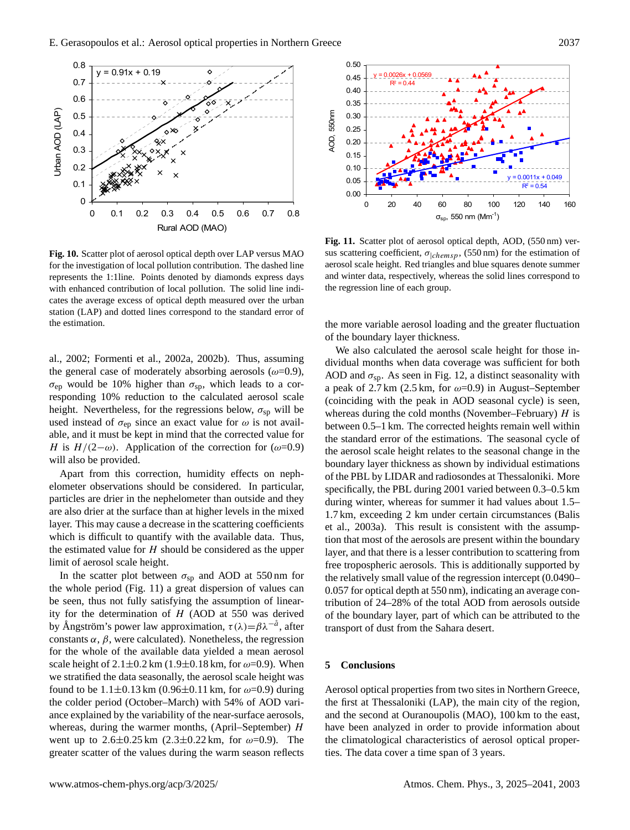

**Fig. 10.** Scatter plot of aerosol optical depth over LAP versus MAO for the investigation of local pollution contribution. The dashed line represents the 1:1line. Points denoted by diamonds express days with enhanced contribution of local pollution. The solid line indicates the average excess of optical depth measured over the urban station (LAP) and dotted lines correspond to the standard error of the estimation.

al., 2002; Formenti et al., 2002a, 2002b). Thus, assuming the general case of moderately absorbing aerosols ( $\omega$ =0.9),  $\sigma_{ep}$  would be 10% higher than  $\sigma_{sp}$ , which leads to a corresponding 10% reduction to the calculated aerosol scale height. Nevertheless, for the regressions below,  $\sigma_{sp}$  will be used instead of  $\sigma_{ep}$  since an exact value for  $\omega$  is not available, and it must be kept in mind that the corrected value for H is  $H/(2-\omega)$ . Application of the correction for ( $\omega$ =0.9) will also be provided.

Apart from this correction, humidity effects on nephelometer observations should be considered. In particular, particles are drier in the nephelometer than outside and they are also drier at the surface than at higher levels in the mixed layer. This may cause a decrease in the scattering coefficients which is difficult to quantify with the available data. Thus, the estimated value for  $H$  should be considered as the upper limit of aerosol scale height.

In the scatter plot between  $\sigma_{sp}$  and AOD at 550 nm for the whole period (Fig. 11) a great dispersion of values can be seen, thus not fully satisfying the assumption of linearity for the determination of  $H$  (AOD at 550 was derived by Ångström's power law approximation,  $\tau(\lambda) = \beta \lambda^{-\hat{a}}$ , after constants  $\alpha$ ,  $\beta$ , were calculated). Nonetheless, the regression for the whole of the available data yielded a mean aerosol scale height of  $2.1 \pm 0.2$  km ( $1.9 \pm 0.18$  km, for  $\omega = 0.9$ ). When we stratified the data seasonally, the aerosol scale height was found to be  $1.1 \pm 0.13$  km (0.96 $\pm$ 0.11 km, for  $\omega$ =0.9) during the colder period (October–March) with 54% of AOD variance explained by the variability of the near-surface aerosols, whereas, during the warmer months, (April–September)  $H$ went up to  $2.6\pm0.25$  km  $(2.3\pm0.22$  km, for  $\omega=0.9$ ). The greater scatter of the values during the warm season reflects



Fig. 11. Scatter plot of aerosol optical depth, AOD, (550 nm) versus scattering coefficient,  $\sigma_{\vert chemsp}$ , (550 nm) for the estimation of aerosol scale height. Red triangles and blue squares denote summer and winter data, respectively, whereas the solid lines correspond to the regression line of each group.

the more variable aerosol loading and the greater fluctuation of the boundary layer thickness.

We also calculated the aerosol scale height for those individual months when data coverage was sufficient for both AOD and  $\sigma_{\rm SD}$ . As seen in Fig. 12, a distinct seasonality with a peak of 2.7 km (2.5 km, for  $\omega$ =0.9) in August–September (coinciding with the peak in AOD seasonal cycle) is seen, whereas during the cold months (November–February)  $H$  is between 0.5–1 km. The corrected heights remain well within the standard error of the estimations. The seasonal cycle of the aerosol scale height relates to the seasonal change in the boundary layer thickness as shown by individual estimations of the PBL by LIDAR and radiosondes at Thessaloniki. More specifically, the PBL during 2001 varied between 0.3–0.5 km during winter, whereas for summer it had values about 1.5– 1.7 km, exceeding 2 km under certain circumstances (Balis et al., 2003a). This result is consistent with the assumption that most of the aerosols are present within the boundary layer, and that there is a lesser contribution to scattering from free tropospheric aerosols. This is additionally supported by the relatively small value of the regression intercept (0.0490– 0.057 for optical depth at 550 nm), indicating an average contribution of 24–28% of the total AOD from aerosols outside of the boundary layer, part of which can be attributed to the transport of dust from the Sahara desert.

# **5 Conclusions**

Aerosol optical properties from two sites in Northern Greece, the first at Thessaloniki (LAP), the main city of the region, and the second at Ouranoupolis (MAO), 100 km to the east, have been analyzed in order to provide information about the climatological characteristics of aerosol optical properties. The data cover a time span of 3 years.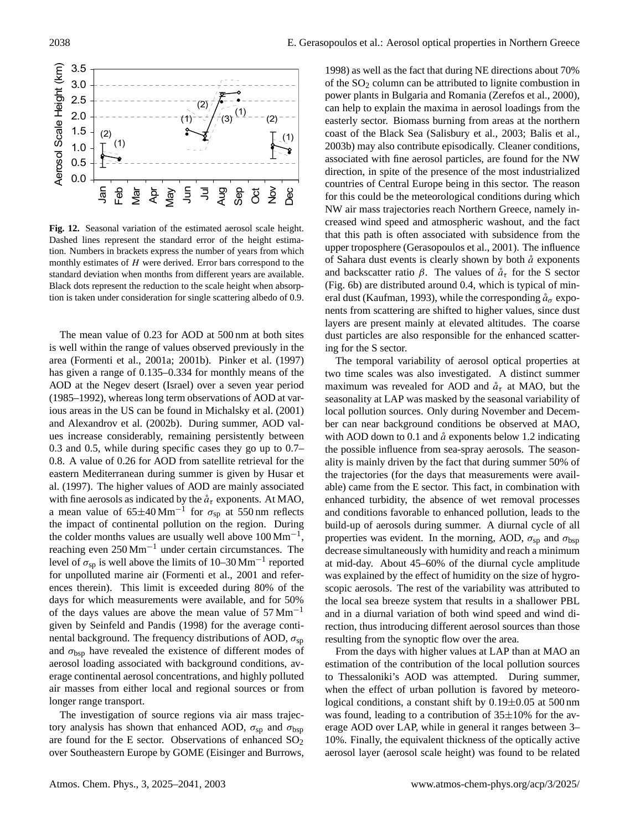

**Fig. 12.** Seasonal variation of the estimated aerosol scale height. Dashed lines represent the standard error of the height estimation. Numbers in brackets express the number of years from which monthly estimates of  $H$  were derived. Error bars correspond to the standard deviation when months from different years are available. Black dots represent the reduction to the scale height when absorption is taken under consideration for single scattering albedo of 0.9.

The mean value of 0.23 for AOD at 500 nm at both sites is well within the range of values observed previously in the area (Formenti et al., 2001a; 2001b). Pinker et al. (1997) has given a range of 0.135–0.334 for monthly means of the AOD at the Negev desert (Israel) over a seven year period (1985–1992), whereas long term observations of AOD at various areas in the US can be found in Michalsky et al. (2001) and Alexandrov et al. (2002b). During summer, AOD values increase considerably, remaining persistently between 0.3 and 0.5, while during specific cases they go up to 0.7– 0.8. A value of 0.26 for AOD from satellite retrieval for the eastern Mediterranean during summer is given by Husar et al. (1997). The higher values of AOD are mainly associated with fine aerosols as indicated by the  $\hat{a}_{\tau}$  exponents. At MAO, a mean value of 65 $\pm$ 40 Mm<sup>-1</sup> for  $\sigma_{sp}$  at 550 nm reflects the impact of continental pollution on the region. During the colder months values are usually well above  $100 \,\mathrm{Mm}^{-1}$ , reaching even 250 Mm−<sup>1</sup> under certain circumstances. The level of  $\sigma_{sp}$  is well above the limits of 10–30 Mm<sup>-1</sup> reported for unpolluted marine air (Formenti et al., 2001 and references therein). This limit is exceeded during 80% of the days for which measurements were available, and for 50% of the days values are above the mean value of  $57 \text{ Mm}^{-1}$ given by Seinfeld and Pandis (1998) for the average continental background. The frequency distributions of AOD,  $\sigma_{sp}$ and  $\sigma_{\rm bsp}$  have revealed the existence of different modes of aerosol loading associated with background conditions, average continental aerosol concentrations, and highly polluted air masses from either local and regional sources or from longer range transport.

The investigation of source regions via air mass trajectory analysis has shown that enhanced AOD,  $\sigma_{sp}$  and  $\sigma_{bsp}$ are found for the E sector. Observations of enhanced  $SO<sub>2</sub>$ over Southeastern Europe by GOME (Eisinger and Burrows,

1998) as well as the fact that during NE directions about 70% of the  $SO<sub>2</sub>$  column can be attributed to lignite combustion in power plants in Bulgaria and Romania (Zerefos et al., 2000), can help to explain the maxima in aerosol loadings from the easterly sector. Biomass burning from areas at the northern coast of the Black Sea (Salisbury et al., 2003; Balis et al., 2003b) may also contribute episodically. Cleaner conditions, associated with fine aerosol particles, are found for the NW direction, in spite of the presence of the most industrialized countries of Central Europe being in this sector. The reason for this could be the meteorological conditions during which NW air mass trajectories reach Northern Greece, namely increased wind speed and atmospheric washout, and the fact that this path is often associated with subsidence from the upper troposphere (Gerasopoulos et al., 2001). The influence of Sahara dust events is clearly shown by both  $\aa$  exponents and backscatter ratio  $\beta$ . The values of  $\mathring{a}_{\tau}$  for the S sector (Fig. 6b) are distributed around 0.4, which is typical of mineral dust (Kaufman, 1993), while the corresponding  $\aa_{\sigma}$  exponents from scattering are shifted to higher values, since dust layers are present mainly at elevated altitudes. The coarse dust particles are also responsible for the enhanced scattering for the S sector.

The temporal variability of aerosol optical properties at two time scales was also investigated. A distinct summer maximum was revealed for AOD and  $\mathring{a}_{\tau}$  at MAO, but the seasonality at LAP was masked by the seasonal variability of local pollution sources. Only during November and December can near background conditions be observed at MAO, with AOD down to 0.1 and  $\hat{a}$  exponents below 1.2 indicating the possible influence from sea-spray aerosols. The seasonality is mainly driven by the fact that during summer 50% of the trajectories (for the days that measurements were available) came from the E sector. This fact, in combination with enhanced turbidity, the absence of wet removal processes and conditions favorable to enhanced pollution, leads to the build-up of aerosols during summer. A diurnal cycle of all properties was evident. In the morning, AOD,  $\sigma_{\rm SD}$  and  $\sigma_{\rm bsp}$ decrease simultaneously with humidity and reach a minimum at mid-day. About 45–60% of the diurnal cycle amplitude was explained by the effect of humidity on the size of hygroscopic aerosols. The rest of the variability was attributed to the local sea breeze system that results in a shallower PBL and in a diurnal variation of both wind speed and wind direction, thus introducing different aerosol sources than those resulting from the synoptic flow over the area.

From the days with higher values at LAP than at MAO an estimation of the contribution of the local pollution sources to Thessaloniki's AOD was attempted. During summer, when the effect of urban pollution is favored by meteorological conditions, a constant shift by  $0.19\pm0.05$  at 500 nm was found, leading to a contribution of  $35\pm10\%$  for the average AOD over LAP, while in general it ranges between 3– 10%. Finally, the equivalent thickness of the optically active aerosol layer (aerosol scale height) was found to be related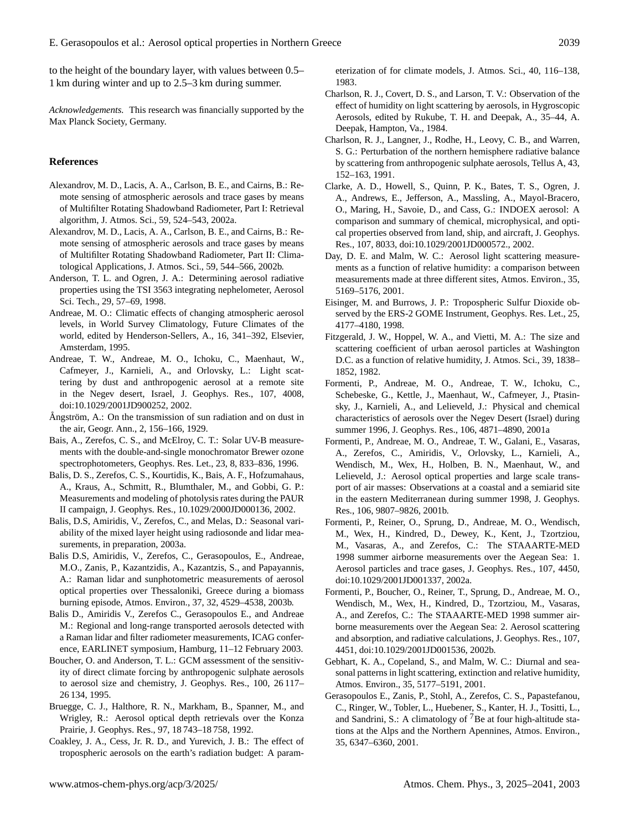to the height of the boundary layer, with values between 0.5– 1 km during winter and up to 2.5–3 km during summer.

*Acknowledgements.* This research was financially supported by the Max Planck Society, Germany.

### **References**

- Alexandrov, M. D., Lacis, A. A., Carlson, B. E., and Cairns, B.: Remote sensing of atmospheric aerosols and trace gases by means of Multifilter Rotating Shadowband Radiometer, Part I: Retrieval algorithm, J. Atmos. Sci., 59, 524–543, 2002a.
- Alexandrov, M. D., Lacis, A. A., Carlson, B. E., and Cairns, B.: Remote sensing of atmospheric aerosols and trace gases by means of Multifilter Rotating Shadowband Radiometer, Part II: Climatological Applications, J. Atmos. Sci., 59, 544–566, 2002b.
- Anderson, T. L. and Ogren, J. A.: Determining aerosol radiative properties using the TSI 3563 integrating nephelometer, Aerosol Sci. Tech., 29, 57–69, 1998.
- Andreae, M. O.: Climatic effects of changing atmospheric aerosol levels, in World Survey Climatology, Future Climates of the world, edited by Henderson-Sellers, A., 16, 341–392, Elsevier, Amsterdam, 1995.
- Andreae, T. W., Andreae, M. O., Ichoku, C., Maenhaut, W., Cafmeyer, J., Karnieli, A., and Orlovsky, L.: Light scattering by dust and anthropogenic aerosol at a remote site in the Negev desert, Israel, J. Geophys. Res., 107, 4008, doi:10.1029/2001JD900252, 2002.
- Ångström, A.: On the transmission of sun radiation and on dust in the air, Geogr. Ann., 2, 156–166, 1929.
- Bais, A., Zerefos, C. S., and McElroy, C. T.: Solar UV-B measurements with the double-and-single monochromator Brewer ozone spectrophotometers, Geophys. Res. Let., 23, 8, 833–836, 1996.
- Balis, D. S., Zerefos, C. S., Kourtidis, K., Bais, A. F., Hofzumahaus, A., Kraus, A., Schmitt, R., Blumthaler, M., and Gobbi, G. P.: Measurements and modeling of photolysis rates during the PAUR II campaign, J. Geophys. Res., 10.1029/2000JD000136, 2002.
- Balis, D.S, Amiridis, V., Zerefos, C., and Melas, D.: Seasonal variability of the mixed layer height using radiosonde and lidar measurements, in preparation, 2003a.
- Balis D.S, Amiridis, V., Zerefos, C., Gerasopoulos, E., Andreae, M.O., Zanis, P., Kazantzidis, A., Kazantzis, S., and Papayannis, A.: Raman lidar and sunphotometric measurements of aerosol optical properties over Thessaloniki, Greece during a biomass burning episode, Atmos. Environ., 37, 32, 4529–4538, 2003b.
- Balis D., Amiridis V., Zerefos C., Gerasopoulos E., and Andreae M.: Regional and long-range transported aerosols detected with a Raman lidar and filter radiometer measurements, ICAG conference, EARLINET symposium, Hamburg, 11–12 February 2003.
- Boucher, O. and Anderson, T. L.: GCM assessment of the sensitivity of direct climate forcing by anthropogenic sulphate aerosols to aerosol size and chemistry, J. Geophys. Res., 100, 26 117– 26 134, 1995.
- Bruegge, C. J., Halthore, R. N., Markham, B., Spanner, M., and Wrigley, R.: Aerosol optical depth retrievals over the Konza Prairie, J. Geophys. Res., 97, 18 743–18 758, 1992.
- Coakley, J. A., Cess, Jr. R. D., and Yurevich, J. B.: The effect of tropospheric aerosols on the earth's radiation budget: A param-

eterization of for climate models, J. Atmos. Sci., 40, 116–138, 1983.

- Charlson, R. J., Covert, D. S., and Larson, T. V.: Observation of the effect of humidity on light scattering by aerosols, in Hygroscopic Aerosols, edited by Rukube, T. H. and Deepak, A., 35–44, A. Deepak, Hampton, Va., 1984.
- Charlson, R. J., Langner, J., Rodhe, H., Leovy, C. B., and Warren, S. G.: Perturbation of the northern hemisphere radiative balance by scattering from anthropogenic sulphate aerosols, Tellus A, 43, 152–163, 1991.
- Clarke, A. D., Howell, S., Quinn, P. K., Bates, T. S., Ogren, J. A., Andrews, E., Jefferson, A., Massling, A., Mayol-Bracero, O., Maring, H., Savoie, D., and Cass, G.: INDOEX aerosol: A comparison and summary of chemical, microphysical, and optical properties observed from land, ship, and aircraft, J. Geophys. Res., 107, 8033, doi:10.1029/2001JD000572., 2002.
- Day, D. E. and Malm, W. C.: Aerosol light scattering measurements as a function of relative humidity: a comparison between measurements made at three different sites, Atmos. Environ., 35, 5169–5176, 2001.
- Eisinger, M. and Burrows, J. P.: Tropospheric Sulfur Dioxide observed by the ERS-2 GOME Instrument, Geophys. Res. Let., 25, 4177–4180, 1998.
- Fitzgerald, J. W., Hoppel, W. A., and Vietti, M. A.: The size and scattering coefficient of urban aerosol particles at Washington D.C. as a function of relative humidity, J. Atmos. Sci., 39, 1838– 1852, 1982.
- Formenti, P., Andreae, M. O., Andreae, T. W., Ichoku, C., Schebeske, G., Kettle, J., Maenhaut, W., Cafmeyer, J., Ptasinsky, J., Karnieli, A., and Lelieveld, J.: Physical and chemical characteristics of aerosols over the Negev Desert (Israel) during summer 1996, J. Geophys. Res., 106, 4871–4890, 2001a
- Formenti, P., Andreae, M. O., Andreae, T. W., Galani, E., Vasaras, A., Zerefos, C., Amiridis, V., Orlovsky, L., Karnieli, A., Wendisch, M., Wex, H., Holben, B. N., Maenhaut, W., and Lelieveld, J.: Aerosol optical properties and large scale transport of air masses: Observations at a coastal and a semiarid site in the eastern Mediterranean during summer 1998, J. Geophys. Res., 106, 9807–9826, 2001b.
- Formenti, P., Reiner, O., Sprung, D., Andreae, M. O., Wendisch, M., Wex, H., Kindred, D., Dewey, K., Kent, J., Tzortziou, M., Vasaras, A., and Zerefos, C.: The STAAARTE-MED 1998 summer airborne measurements over the Aegean Sea: 1. Aerosol particles and trace gases, J. Geophys. Res., 107, 4450, doi:10.1029/2001JD001337, 2002a.
- Formenti, P., Boucher, O., Reiner, T., Sprung, D., Andreae, M. O., Wendisch, M., Wex, H., Kindred, D., Tzortziou, M., Vasaras, A., and Zerefos, C.: The STAAARTE-MED 1998 summer airborne measurements over the Aegean Sea: 2. Aerosol scattering and absorption, and radiative calculations, J. Geophys. Res., 107, 4451, doi:10.1029/2001JD001536, 2002b.
- Gebhart, K. A., Copeland, S., and Malm, W. C.: Diurnal and seasonal patterns in light scattering, extinction and relative humidity, Atmos. Environ., 35, 5177–5191, 2001.
- Gerasopoulos E., Zanis, P., Stohl, A., Zerefos, C. S., Papastefanou, C., Ringer, W., Tobler, L., Huebener, S., Kanter, H. J., Tositti, L., and Sandrini, S.: A climatology of  $7Be$  at four high-altitude stations at the Alps and the Northern Apennines, Atmos. Environ., 35, 6347–6360, 2001.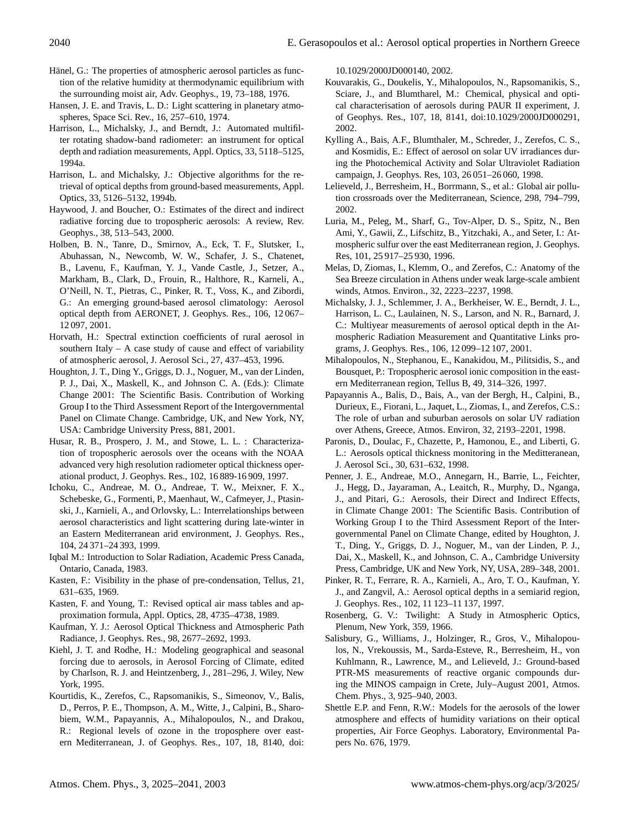- Hänel, G.: The properties of atmospheric aerosol particles as function of the relative humidity at thermodynamic equilibrium with the surrounding moist air, Adv. Geophys., 19, 73–188, 1976.
- Hansen, J. E. and Travis, L. D.: Light scattering in planetary atmospheres, Space Sci. Rev., 16, 257–610, 1974.
- Harrison, L., Michalsky, J., and Berndt, J.: Automated multifilter rotating shadow-band radiometer: an instrument for optical depth and radiation measurements, Appl. Optics, 33, 5118–5125, 1994a.
- Harrison, L. and Michalsky, J.: Objective algorithms for the retrieval of optical depths from ground-based measurements, Appl. Optics, 33, 5126–5132, 1994b.
- Haywood, J. and Boucher, O.: Estimates of the direct and indirect radiative forcing due to tropospheric aerosols: A review, Rev. Geophys., 38, 513–543, 2000.
- Holben, B. N., Tanre, D., Smirnov, A., Eck, T. F., Slutsker, I., Abuhassan, N., Newcomb, W. W., Schafer, J. S., Chatenet, B., Lavenu, F., Kaufman, Y. J., Vande Castle, J., Setzer, A., Markham, B., Clark, D., Frouin, R., Halthore, R., Karneli, A., O'Neill, N. T., Pietras, C., Pinker, R. T., Voss, K., and Zibordi, G.: An emerging ground-based aerosol climatology: Aerosol optical depth from AERONET, J. Geophys. Res., 106, 12 067– 12 097, 2001.
- Horvath, H.: Spectral extinction coefficients of rural aerosol in southern Italy  $- A$  case study of cause and effect of variability of atmospheric aerosol, J. Aerosol Sci., 27, 437–453, 1996.
- Houghton, J. T., Ding Y., Griggs, D. J., Noguer, M., van der Linden, P. J., Dai, X., Maskell, K., and Johnson C. A. (Eds.): Climate Change 2001: The Scientific Basis. Contribution of Working Group I to the Third Assessment Report of the Intergovernmental Panel on Climate Change. Cambridge, UK, and New York, NY, USA: Cambridge University Press, 881, 2001.
- Husar, R. B., Prospero, J. M., and Stowe, L. L. : Characterization of tropospheric aerosols over the oceans with the NOAA advanced very high resolution radiometer optical thickness operational product, J. Geophys. Res., 102, 16 889-16 909, 1997.
- Ichoku, C., Andreae, M. O., Andreae, T. W., Meixner, F. X., Schebeske, G., Formenti, P., Maenhaut, W., Cafmeyer, J., Ptasinski, J., Karnieli, A., and Orlovsky, L.: Interrelationships between aerosol characteristics and light scattering during late-winter in an Eastern Mediterranean arid environment, J. Geophys. Res., 104, 24 371–24 393, 1999.
- Iqbal M.: Introduction to Solar Radiation, Academic Press Canada, Ontario, Canada, 1983.
- Kasten, F.: Visibility in the phase of pre-condensation, Tellus, 21, 631–635, 1969.
- Kasten, F. and Young, T.: Revised optical air mass tables and approximation formula, Appl. Optics, 28, 4735–4738, 1989.
- Kaufman, Y. J.: Aerosol Optical Thickness and Atmospheric Path Radiance, J. Geophys. Res., 98, 2677–2692, 1993.
- Kiehl, J. T. and Rodhe, H.: Modeling geographical and seasonal forcing due to aerosols, in Aerosol Forcing of Climate, edited by Charlson, R. J. and Heintzenberg, J., 281–296, J. Wiley, New York, 1995.
- Kourtidis, K., Zerefos, C., Rapsomanikis, S., Simeonov, V., Balis, D., Perros, P. E., Thompson, A. M., Witte, J., Calpini, B., Sharobiem, W.M., Papayannis, A., Mihalopoulos, N., and Drakou, R.: Regional levels of ozone in the troposphere over eastern Mediterranean, J. of Geophys. Res., 107, 18, 8140, doi:

10.1029/2000JD000140, 2002.

- Kouvarakis, G., Doukelis, Y., Mihalopoulos, N., Rapsomanikis, S., Sciare, J., and Blumtharel, M.: Chemical, physical and optical characterisation of aerosols during PAUR II experiment, J. of Geophys. Res., 107, 18, 8141, doi:10.1029/2000JD000291, 2002.
- Kylling A., Bais, A.F., Blumthaler, M., Schreder, J., Zerefos, C. S., and Kosmidis, E.: Effect of aerosol on solar UV irradiances during the Photochemical Activity and Solar Ultraviolet Radiation campaign, J. Geophys. Res, 103, 26 051–26 060, 1998.
- Lelieveld, J., Berresheim, H., Borrmann, S., et al.: Global air pollution crossroads over the Mediterranean, Science, 298, 794–799, 2002.
- Luria, M., Peleg, M., Sharf, G., Tov-Alper, D. S., Spitz, N., Ben Ami, Y., Gawii, Z., Lifschitz, B., Yitzchaki, A., and Seter, I.: Atmospheric sulfur over the east Mediterranean region, J. Geophys. Res, 101, 25 917–25 930, 1996.
- Melas, D, Ziomas, I., Klemm, O., and Zerefos, C.: Anatomy of the Sea Breeze circulation in Athens under weak large-scale ambient winds, Atmos. Environ., 32, 2223–2237, 1998.
- Michalsky, J. J., Schlemmer, J. A., Berkheiser, W. E., Berndt, J. L., Harrison, L. C., Laulainen, N. S., Larson, and N. R., Barnard, J. C.: Multiyear measurements of aerosol optical depth in the Atmospheric Radiation Measurement and Quantitative Links programs, J. Geophys. Res., 106, 12 099–12 107, 2001.
- Mihalopoulos, N., Stephanou, E., Kanakidou, M., Pilitsidis, S., and Bousquet, P.: Tropospheric aerosol ionic composition in the eastern Mediterranean region, Tellus B, 49, 314–326, 1997.
- Papayannis A., Balis, D., Bais, A., van der Bergh, H., Calpini, B., Durieux, E., Fiorani, L., Jaquet, L., Ziomas, I., and Zerefos, C.S.: The role of urban and suburban aerosols on solar UV radiation over Athens, Greece, Atmos. Environ, 32, 2193–2201, 1998.
- Paronis, D., Doulac, F., Chazette, P., Hamonou, E., and Liberti, G. L.: Aerosols optical thickness monitoring in the Meditteranean, J. Aerosol Sci., 30, 631–632, 1998.
- Penner, J. E., Andreae, M.O., Annegarn, H., Barrie, L., Feichter, J., Hegg, D., Jayaraman, A., Leaitch, R., Murphy, D., Nganga, J., and Pitari, G.: Aerosols, their Direct and Indirect Effects, in Climate Change 2001: The Scientific Basis. Contribution of Working Group I to the Third Assessment Report of the Intergovernmental Panel on Climate Change, edited by Houghton, J. T., Ding, Y., Griggs, D. J., Noguer, M., van der Linden, P. J., Dai, X., Maskell, K., and Johnson, C. A., Cambridge University Press, Cambridge, UK and New York, NY, USA, 289–348, 2001.
- Pinker, R. T., Ferrare, R. A., Karnieli, A., Aro, T. O., Kaufman, Y. J., and Zangvil, A.: Aerosol optical depths in a semiarid region, J. Geophys. Res., 102, 11 123–11 137, 1997.
- Rosenberg, G. V.: Twilight: A Study in Atmospheric Optics, Plenum, New York, 359, 1966.
- Salisbury, G., Williams, J., Holzinger, R., Gros, V., Mihalopoulos, N., Vrekoussis, M., Sarda-Esteve, R., Berresheim, H., von Kuhlmann, R., Lawrence, M., and Lelieveld, J.: Ground-based PTR-MS measurements of reactive organic compounds during the MINOS campaign in Crete, July–August 2001, Atmos. Chem. Phys., 3, 925–940, 2003.
- Shettle E.P. and Fenn, R.W.: Models for the aerosols of the lower atmosphere and effects of humidity variations on their optical properties, Air Force Geophys. Laboratory, Environmental Papers No. 676, 1979.